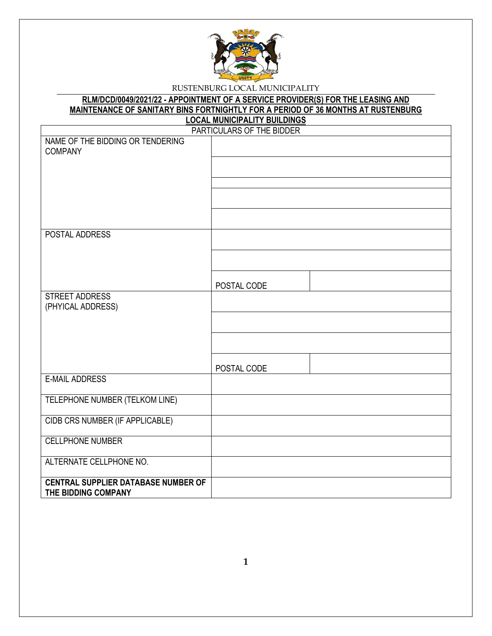

#### **RLM/DCD/0049/2021/22 - APPOINTMENT OF A SERVICE PROVIDER(S) FOR THE LEASING AND MAINTENANCE OF SANITARY BINS FORTNIGHTLY FOR A PERIOD OF 36 MONTHS AT RUSTENBURG LOCAL MUNICIPALITY BUILDINGS**

|                                            | PARTICULARS OF THE BIDDER |
|--------------------------------------------|---------------------------|
| NAME OF THE BIDDING OR TENDERING           |                           |
| <b>COMPANY</b>                             |                           |
|                                            |                           |
|                                            |                           |
|                                            |                           |
|                                            |                           |
|                                            |                           |
| POSTAL ADDRESS                             |                           |
|                                            |                           |
|                                            |                           |
|                                            |                           |
|                                            | POSTAL CODE               |
| <b>STREET ADDRESS</b><br>(PHYICAL ADDRESS) |                           |
|                                            |                           |
|                                            |                           |
|                                            |                           |
|                                            |                           |
|                                            | POSTAL CODE               |
| <b>E-MAIL ADDRESS</b>                      |                           |
| TELEPHONE NUMBER (TELKOM LINE)             |                           |
|                                            |                           |
| CIDB CRS NUMBER (IF APPLICABLE)            |                           |
| <b>CELLPHONE NUMBER</b>                    |                           |
|                                            |                           |
| ALTERNATE CELLPHONE NO.                    |                           |
| <b>CENTRAL SUPPLIER DATABASE NUMBER OF</b> |                           |
| THE BIDDING COMPANY                        |                           |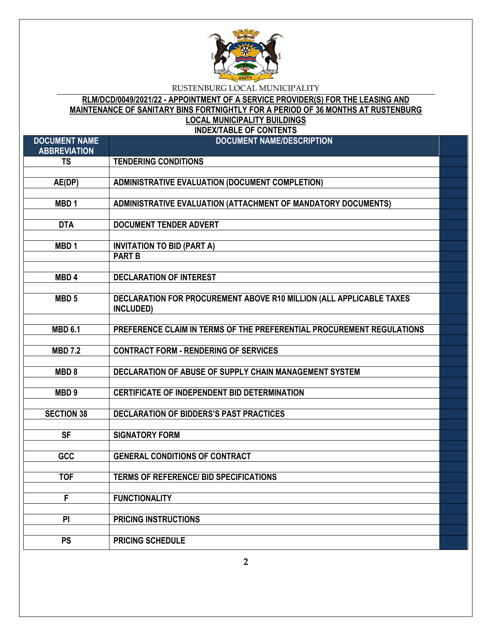

## **RLM/DCD/0049/2021/22 - APPOINTMENT OF A SERVICE PROVIDER(S) FOR THE LEASING AND MAINTENANCE OF SANITARY BINS FORTNIGHTLY FOR A PERIOD OF 36 MONTHS AT RUSTENBURG LOCAL MUNICIPALITY BUILDINGS**

**INDEX/TABLE OF CONTENTS**

| <b>DOCUMENT NAME</b><br><b>ABBREVIATION</b> | <b>DOCUMENT NAME/DESCRIPTION</b>                                      |  |
|---------------------------------------------|-----------------------------------------------------------------------|--|
| <b>TS</b>                                   | <b>TENDERING CONDITIONS</b>                                           |  |
|                                             |                                                                       |  |
| AE(DP)                                      | <b>ADMINISTRATIVE EVALUATION (DOCUMENT COMPLETION)</b>                |  |
|                                             |                                                                       |  |
| MBD <sub>1</sub>                            | ADMINISTRATIVE EVALUATION (ATTACHMENT OF MANDATORY DOCUMENTS)         |  |
|                                             |                                                                       |  |
| <b>DTA</b>                                  | <b>DOCUMENT TENDER ADVERT</b>                                         |  |
|                                             |                                                                       |  |
| MBD <sub>1</sub>                            | <b>INVITATION TO BID (PART A)</b>                                     |  |
|                                             | <b>PART B</b>                                                         |  |
| MBD <sub>4</sub>                            |                                                                       |  |
|                                             | <b>DECLARATION OF INTEREST</b>                                        |  |
| MBD <sub>5</sub>                            | DECLARATION FOR PROCUREMENT ABOVE R10 MILLION (ALL APPLICABLE TAXES   |  |
|                                             | INCLUDED)                                                             |  |
|                                             |                                                                       |  |
| <b>MBD 6.1</b>                              | PREFERENCE CLAIM IN TERMS OF THE PREFERENTIAL PROCUREMENT REGULATIONS |  |
|                                             |                                                                       |  |
| <b>MBD 7.2</b>                              | <b>CONTRACT FORM - RENDERING OF SERVICES</b>                          |  |
|                                             |                                                                       |  |
| MBD <sub>8</sub>                            | DECLARATION OF ABUSE OF SUPPLY CHAIN MANAGEMENT SYSTEM                |  |
|                                             |                                                                       |  |
| MBD <sub>9</sub>                            | <b>CERTIFICATE OF INDEPENDENT BID DETERMINATION</b>                   |  |
|                                             |                                                                       |  |
| <b>SECTION 38</b>                           | DECLARATION OF BIDDERS'S PAST PRACTICES                               |  |
|                                             |                                                                       |  |
| <b>SF</b>                                   | <b>SIGNATORY FORM</b>                                                 |  |
|                                             |                                                                       |  |
| GCC                                         | <b>GENERAL CONDITIONS OF CONTRACT</b>                                 |  |
| <b>TOF</b>                                  | <b>TERMS OF REFERENCE/ BID SPECIFICATIONS</b>                         |  |
|                                             |                                                                       |  |
| F                                           | <b>FUNCTIONALITY</b>                                                  |  |
|                                             |                                                                       |  |
| PI                                          | <b>PRICING INSTRUCTIONS</b>                                           |  |
|                                             |                                                                       |  |
| <b>PS</b>                                   | <b>PRICING SCHEDULE</b>                                               |  |

**2**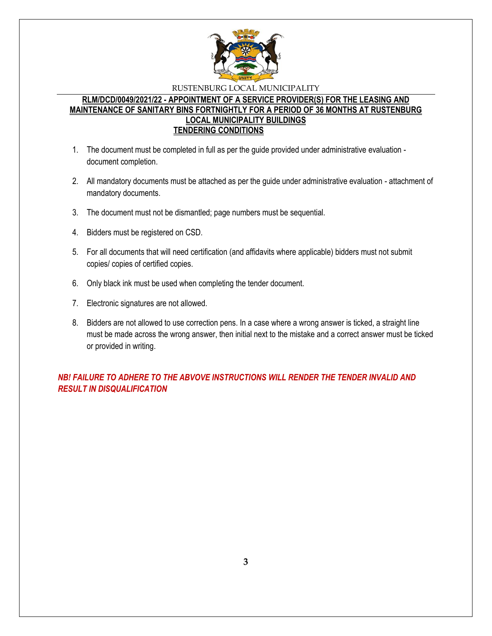

### **RLM/DCD/0049/2021/22 - APPOINTMENT OF A SERVICE PROVIDER(S) FOR THE LEASING AND MAINTENANCE OF SANITARY BINS FORTNIGHTLY FOR A PERIOD OF 36 MONTHS AT RUSTENBURG LOCAL MUNICIPALITY BUILDINGS TENDERING CONDITIONS**

- 1. The document must be completed in full as per the guide provided under administrative evaluation document completion.
- 2. All mandatory documents must be attached as per the guide under administrative evaluation attachment of mandatory documents.
- 3. The document must not be dismantled; page numbers must be sequential.
- 4. Bidders must be registered on CSD.
- 5. For all documents that will need certification (and affidavits where applicable) bidders must not submit copies/ copies of certified copies.
- 6. Only black ink must be used when completing the tender document.
- 7. Electronic signatures are not allowed.
- 8. Bidders are not allowed to use correction pens. In a case where a wrong answer is ticked, a straight line must be made across the wrong answer, then initial next to the mistake and a correct answer must be ticked or provided in writing.

*NB! FAILURE TO ADHERE TO THE ABVOVE INSTRUCTIONS WILL RENDER THE TENDER INVALID AND RESULT IN DISQUALIFICATION*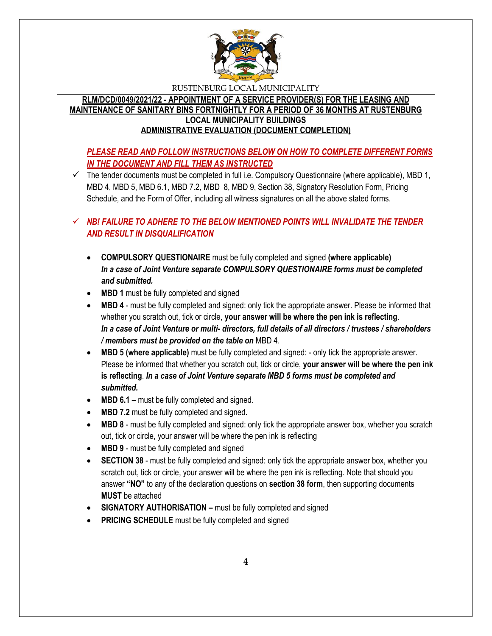

**RLM/DCD/0049/2021/22 - APPOINTMENT OF A SERVICE PROVIDER(S) FOR THE LEASING AND MAINTENANCE OF SANITARY BINS FORTNIGHTLY FOR A PERIOD OF 36 MONTHS AT RUSTENBURG LOCAL MUNICIPALITY BUILDINGS ADMINISTRATIVE EVALUATION (DOCUMENT COMPLETION)**

# *PLEASE READ AND FOLLOW INSTRUCTIONS BELOW ON HOW TO COMPLETE DIFFERENT FORMS IN THE DOCUMENT AND FILL THEM AS INSTRUCTED*

 $\checkmark$  The tender documents must be completed in full i.e. Compulsory Questionnaire (where applicable), MBD 1, MBD 4, MBD 5, MBD 6.1, MBD 7.2, MBD 8, MBD 9, Section 38, Signatory Resolution Form, Pricing Schedule, and the Form of Offer, including all witness signatures on all the above stated forms.

# $\checkmark$  **NB! FAILURE TO ADHERE TO THE BELOW MENTIONED POINTS WILL INVALIDATE THE TENDER** *AND RESULT IN DISQUALIFICATION*

- **COMPULSORY QUESTIONAIRE** must be fully completed and signed **(where applicable)** *In a case of Joint Venture separate COMPULSORY QUESTIONAIRE forms must be completed and submitted.*
- MBD 1 must be fully completed and signed
- **MBD 4** must be fully completed and signed: only tick the appropriate answer. Please be informed that whether you scratch out, tick or circle, **your answer will be where the pen ink is reflecting**. *In a case of Joint Venture or multi- directors, full details of all directors / trustees / shareholders / members must be provided on the table on* MBD 4.
- **MBD 5 (where applicable)** must be fully completed and signed: only tick the appropriate answer. Please be informed that whether you scratch out, tick or circle, **your answer will be where the pen ink is reflecting**. *In a case of Joint Venture separate MBD 5 forms must be completed and submitted.*
- MBD 6.1 must be fully completed and signed.
- **MBD 7.2** must be fully completed and signed.
- **MBD 8** must be fully completed and signed: only tick the appropriate answer box, whether you scratch out, tick or circle, your answer will be where the pen ink is reflecting
- MBD 9 must be fully completed and signed
- **SECTION 38** must be fully completed and signed: only tick the appropriate answer box, whether you scratch out, tick or circle, your answer will be where the pen ink is reflecting. Note that should you answer **"NO"** to any of the declaration questions on **section 38 form**, then supporting documents **MUST** be attached
- **SIGNATORY AUTHORISATION –** must be fully completed and signed
- **PRICING SCHEDULE** must be fully completed and signed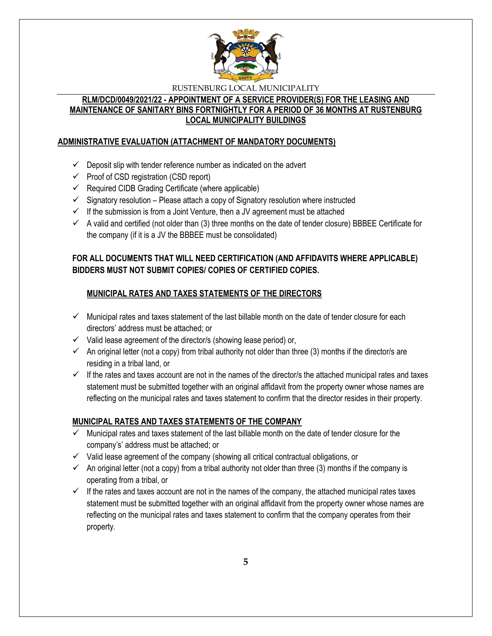

## **RLM/DCD/0049/2021/22 - APPOINTMENT OF A SERVICE PROVIDER(S) FOR THE LEASING AND MAINTENANCE OF SANITARY BINS FORTNIGHTLY FOR A PERIOD OF 36 MONTHS AT RUSTENBURG LOCAL MUNICIPALITY BUILDINGS**

## **ADMINISTRATIVE EVALUATION (ATTACHMENT OF MANDATORY DOCUMENTS)**

- $\checkmark$  Deposit slip with tender reference number as indicated on the advert
- $\checkmark$  Proof of CSD registration (CSD report)
- $\checkmark$  Required CIDB Grading Certificate (where applicable)
- $\checkmark$  Signatory resolution Please attach a copy of Signatory resolution where instructed
- $\checkmark$  If the submission is from a Joint Venture, then a JV agreement must be attached
- $\checkmark$  A valid and certified (not older than (3) three months on the date of tender closure) BBBEE Certificate for the company (if it is a JV the BBBEE must be consolidated)

# **FOR ALL DOCUMENTS THAT WILL NEED CERTIFICATION (AND AFFIDAVITS WHERE APPLICABLE) BIDDERS MUST NOT SUBMIT COPIES/ COPIES OF CERTIFIED COPIES.**

# **MUNICIPAL RATES AND TAXES STATEMENTS OF THE DIRECTORS**

- $\checkmark$  Municipal rates and taxes statement of the last billable month on the date of tender closure for each directors' address must be attached; or
- $\checkmark$  Valid lease agreement of the director/s (showing lease period) or,
- $\checkmark$  An original letter (not a copy) from tribal authority not older than three (3) months if the director/s are residing in a tribal land, or
- $\checkmark$  If the rates and taxes account are not in the names of the director/s the attached municipal rates and taxes statement must be submitted together with an original affidavit from the property owner whose names are reflecting on the municipal rates and taxes statement to confirm that the director resides in their property.

# **MUNICIPAL RATES AND TAXES STATEMENTS OF THE COMPANY**

- $\checkmark$  Municipal rates and taxes statement of the last billable month on the date of tender closure for the company's' address must be attached; or
- $\checkmark$  Valid lease agreement of the company (showing all critical contractual obligations, or
- $\checkmark$  An original letter (not a copy) from a tribal authority not older than three (3) months if the company is operating from a tribal, or
- $\checkmark$  If the rates and taxes account are not in the names of the company, the attached municipal rates taxes statement must be submitted together with an original affidavit from the property owner whose names are reflecting on the municipal rates and taxes statement to confirm that the company operates from their property.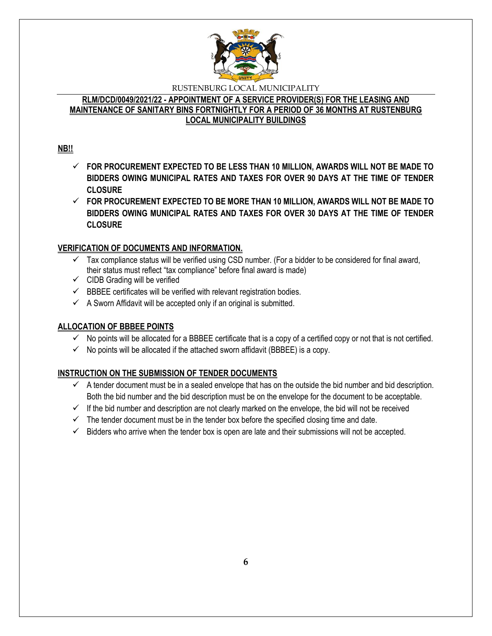

### **RLM/DCD/0049/2021/22 - APPOINTMENT OF A SERVICE PROVIDER(S) FOR THE LEASING AND MAINTENANCE OF SANITARY BINS FORTNIGHTLY FOR A PERIOD OF 36 MONTHS AT RUSTENBURG LOCAL MUNICIPALITY BUILDINGS**

## **NB!!**

- **FOR PROCUREMENT EXPECTED TO BE LESS THAN 10 MILLION, AWARDS WILL NOT BE MADE TO BIDDERS OWING MUNICIPAL RATES AND TAXES FOR OVER 90 DAYS AT THE TIME OF TENDER CLOSURE**
- **FOR PROCUREMENT EXPECTED TO BE MORE THAN 10 MILLION, AWARDS WILL NOT BE MADE TO BIDDERS OWING MUNICIPAL RATES AND TAXES FOR OVER 30 DAYS AT THE TIME OF TENDER CLOSURE**

## **VERIFICATION OF DOCUMENTS AND INFORMATION.**

- $\checkmark$  Tax compliance status will be verified using CSD number. (For a bidder to be considered for final award, their status must reflect "tax compliance" before final award is made)
- $\checkmark$  CIDB Grading will be verified
- $\checkmark$  BBBEE certificates will be verified with relevant registration bodies.
- $\checkmark$  A Sworn Affidavit will be accepted only if an original is submitted.

## **ALLOCATION OF BBBEE POINTS**

- $\checkmark$  No points will be allocated for a BBBEE certificate that is a copy of a certified copy or not that is not certified.
- $\checkmark$  No points will be allocated if the attached sworn affidavit (BBBEE) is a copy.

# **INSTRUCTION ON THE SUBMISSION OF TENDER DOCUMENTS**

- $\checkmark$  A tender document must be in a sealed envelope that has on the outside the bid number and bid description. Both the bid number and the bid description must be on the envelope for the document to be acceptable.
- $\checkmark$  If the bid number and description are not clearly marked on the envelope, the bid will not be received
- $\checkmark$  The tender document must be in the tender box before the specified closing time and date.
- $\checkmark$  Bidders who arrive when the tender box is open are late and their submissions will not be accepted.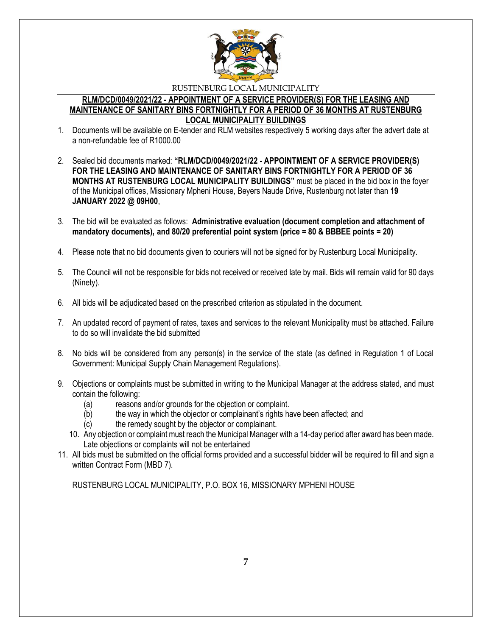

#### **RLM/DCD/0049/2021/22 - APPOINTMENT OF A SERVICE PROVIDER(S) FOR THE LEASING AND MAINTENANCE OF SANITARY BINS FORTNIGHTLY FOR A PERIOD OF 36 MONTHS AT RUSTENBURG LOCAL MUNICIPALITY BUILDINGS**

- 1. Documents will be available on E-tender and RLM websites respectively 5 working days after the advert date at a non-refundable fee of R1000.00
- 2. Sealed bid documents marked: **"RLM/DCD/0049/2021/22 - APPOINTMENT OF A SERVICE PROVIDER(S) FOR THE LEASING AND MAINTENANCE OF SANITARY BINS FORTNIGHTLY FOR A PERIOD OF 36 MONTHS AT RUSTENBURG LOCAL MUNICIPALITY BUILDINGS"** must be placed in the bid box in the foyer of the Municipal offices, Missionary Mpheni House, Beyers Naude Drive, Rustenburg not later than **19 JANUARY 2022 @ 09H00**,
- 3. The bid will be evaluated as follows: **Administrative evaluation (document completion and attachment of mandatory documents), and 80/20 preferential point system (price = 80 & BBBEE points = 20)**
- 4. Please note that no bid documents given to couriers will not be signed for by Rustenburg Local Municipality.
- 5. The Council will not be responsible for bids not received or received late by mail. Bids will remain valid for 90 days (Ninety).
- 6. All bids will be adjudicated based on the prescribed criterion as stipulated in the document.
- 7. An updated record of payment of rates, taxes and services to the relevant Municipality must be attached. Failure to do so will invalidate the bid submitted
- 8. No bids will be considered from any person(s) in the service of the state (as defined in Regulation 1 of Local Government: Municipal Supply Chain Management Regulations).
- 9. Objections or complaints must be submitted in writing to the Municipal Manager at the address stated, and must contain the following:
	- (a) reasons and/or grounds for the objection or complaint.
	- (b) the way in which the objector or complainant's rights have been affected; and
	- (c) the remedy sought by the objector or complainant.
	- 10. Any objection or complaint must reach the Municipal Manager with a 14-day period after award has been made. Late objections or complaints will not be entertained
- 11. All bids must be submitted on the official forms provided and a successful bidder will be required to fill and sign a written Contract Form (MBD 7).

RUSTENBURG LOCAL MUNICIPALITY, P.O. BOX 16, MISSIONARY MPHENI HOUSE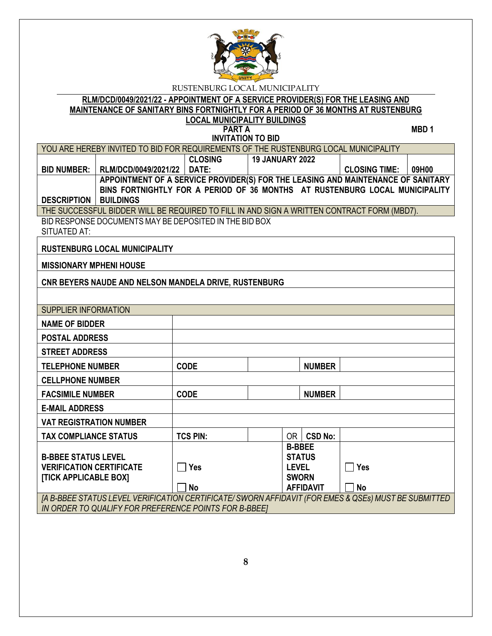

**RLM/DCD/0049/2021/22 - APPOINTMENT OF A SERVICE PROVIDER(S) FOR THE LEASING AND MAINTENANCE OF SANITARY BINS FORTNIGHTLY FOR A PERIOD OF 36 MONTHS AT RUSTENBURG** 

# **LOCAL MUNICIPALITY BUILDINGS**

**PART A** MBD 1 **INVITATION TO BID**

|                                                          | YOU ARE HEREBY INVITED TO BID FOR REQUIREMENTS OF THE RUSTENBURG LOCAL MUNICIPALITY                            | <b>UNVITATION TO DID</b> |                        |                              |                      |       |
|----------------------------------------------------------|----------------------------------------------------------------------------------------------------------------|--------------------------|------------------------|------------------------------|----------------------|-------|
|                                                          |                                                                                                                | <b>CLOSING</b>           | <b>19 JANUARY 2022</b> |                              |                      |       |
| <b>BID NUMBER:</b>                                       | RLM/DCD/0049/2021/22                                                                                           | DATE:                    |                        |                              | <b>CLOSING TIME:</b> | 09H00 |
|                                                          | APPOINTMENT OF A SERVICE PROVIDER(S) FOR THE LEASING AND MAINTENANCE OF SANITARY                               |                          |                        |                              |                      |       |
|                                                          | BINS FORTNIGHTLY FOR A PERIOD OF 36 MONTHS AT RUSTENBURG LOCAL MUNICIPALITY                                    |                          |                        |                              |                      |       |
| <b>DESCRIPTION</b>                                       | <b>BUILDINGS</b><br>THE SUCCESSFUL BIDDER WILL BE REQUIRED TO FILL IN AND SIGN A WRITTEN CONTRACT FORM (MBD7). |                          |                        |                              |                      |       |
|                                                          | BID RESPONSE DOCUMENTS MAY BE DEPOSITED IN THE BID BOX                                                         |                          |                        |                              |                      |       |
| <b>SITUATED AT:</b>                                      |                                                                                                                |                          |                        |                              |                      |       |
|                                                          | <b>RUSTENBURG LOCAL MUNICIPALITY</b>                                                                           |                          |                        |                              |                      |       |
| <b>MISSIONARY MPHENI HOUSE</b>                           |                                                                                                                |                          |                        |                              |                      |       |
|                                                          | CNR BEYERS NAUDE AND NELSON MANDELA DRIVE, RUSTENBURG                                                          |                          |                        |                              |                      |       |
|                                                          |                                                                                                                |                          |                        |                              |                      |       |
| <b>SUPPLIER INFORMATION</b>                              |                                                                                                                |                          |                        |                              |                      |       |
| <b>NAME OF BIDDER</b>                                    |                                                                                                                |                          |                        |                              |                      |       |
|                                                          | <b>POSTAL ADDRESS</b>                                                                                          |                          |                        |                              |                      |       |
| <b>STREET ADDRESS</b>                                    |                                                                                                                |                          |                        |                              |                      |       |
| <b>TELEPHONE NUMBER</b>                                  |                                                                                                                | <b>CODE</b>              |                        | <b>NUMBER</b>                |                      |       |
| <b>CELLPHONE NUMBER</b>                                  |                                                                                                                |                          |                        |                              |                      |       |
| <b>FACSIMILE NUMBER</b>                                  |                                                                                                                | <b>CODE</b>              |                        | <b>NUMBER</b>                |                      |       |
| <b>E-MAIL ADDRESS</b>                                    |                                                                                                                |                          |                        |                              |                      |       |
| <b>VAT REGISTRATION NUMBER</b>                           |                                                                                                                |                          |                        |                              |                      |       |
| <b>TAX COMPLIANCE STATUS</b>                             |                                                                                                                | <b>TCS PIN:</b>          |                        | OR   CSD No:                 |                      |       |
|                                                          |                                                                                                                |                          |                        | <b>B-BBEE</b>                |                      |       |
| <b>B-BBEE STATUS LEVEL</b>                               |                                                                                                                |                          |                        | <b>STATUS</b>                |                      |       |
| <b>VERIFICATION CERTIFICATE</b><br>[TICK APPLICABLE BOX] |                                                                                                                | <b>Yes</b>               |                        | <b>LEVEL</b><br><b>SWORN</b> | $\Box$ Yes           |       |
|                                                          |                                                                                                                | <b>No</b>                |                        | <b>AFFIDAVIT</b>             | <b>No</b>            |       |
|                                                          | [A B-BBEE STATUS LEVEL VERIFICATION CERTIFICATE/ SWORN AFFIDAVIT (FOR EMES & QSEs) MUST BE SUBMITTED           |                          |                        |                              |                      |       |
| IN ORDER TO QUALIFY FOR PREFERENCE POINTS FOR B-BBEET    |                                                                                                                |                          |                        |                              |                      |       |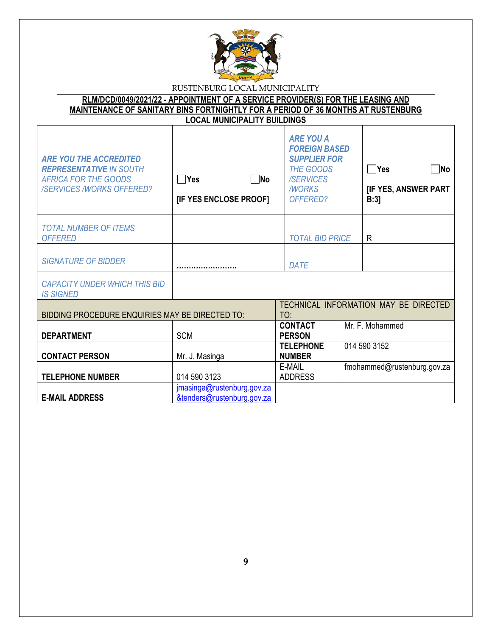

| RLM/DCD/0049/2021/22 - APPOINTMENT OF A SERVICE PROVIDER(S) FOR THE LEASING AND         |                                     |  |
|-----------------------------------------------------------------------------------------|-------------------------------------|--|
| <b>MAINTENANCE OF SANITARY BINS FORTNIGHTLY FOR A PERIOD OF 36 MONTHS AT RUSTENBURG</b> |                                     |  |
|                                                                                         | <b>LOCAL MUNICIPALITY BUILDINGS</b> |  |
|                                                                                         |                                     |  |

| <b>ARE YOU THE ACCREDITED</b><br><b>REPRESENTATIVE IN SOUTH</b><br><b>AFRICA FOR THE GOODS</b><br><b>/SERVICES /WORKS OFFERED?</b> | $\neg$ No<br> Yes<br>[IF YES ENCLOSE PROOF]              | <b>ARE YOU A</b><br><b>FOREIGN BASED</b><br><b>SUPPLIER FOR</b><br><b>THE GOODS</b><br><b>/SERVICES</b><br><b>MORKS</b><br>OFFERED? | $\Box$ Yes<br><b>No</b><br><b>[IF YES, ANSWER PART</b><br>B:3 |
|------------------------------------------------------------------------------------------------------------------------------------|----------------------------------------------------------|-------------------------------------------------------------------------------------------------------------------------------------|---------------------------------------------------------------|
| <b>TOTAL NUMBER OF ITEMS</b><br><b>OFFERED</b>                                                                                     |                                                          | <b>TOTAL BID PRICE</b>                                                                                                              | R                                                             |
| <b>SIGNATURE OF BIDDER</b>                                                                                                         |                                                          | DATE                                                                                                                                |                                                               |
| <b>CAPACITY UNDER WHICH THIS BID</b><br><b>IS SIGNED</b>                                                                           |                                                          |                                                                                                                                     |                                                               |
| BIDDING PROCEDURE ENQUIRIES MAY BE DIRECTED TO:                                                                                    |                                                          | TO:                                                                                                                                 | TECHNICAL INFORMATION MAY BE DIRECTED                         |
| <b>DEPARTMENT</b>                                                                                                                  | <b>SCM</b>                                               | <b>CONTACT</b><br><b>PERSON</b>                                                                                                     | Mr. F. Mohammed                                               |
| <b>CONTACT PERSON</b>                                                                                                              | Mr. J. Masinga                                           | <b>TELEPHONE</b><br><b>NUMBER</b>                                                                                                   | 014 590 3152                                                  |
| <b>TELEPHONE NUMBER</b>                                                                                                            | 014 590 3123                                             | E-MAIL<br><b>ADDRESS</b>                                                                                                            | fmohammed@rustenburg.gov.za                                   |
| <b>E-MAIL ADDRESS</b>                                                                                                              | jmasinga@rustenburg.gov.za<br>&tenders@rustenburg.gov.za |                                                                                                                                     |                                                               |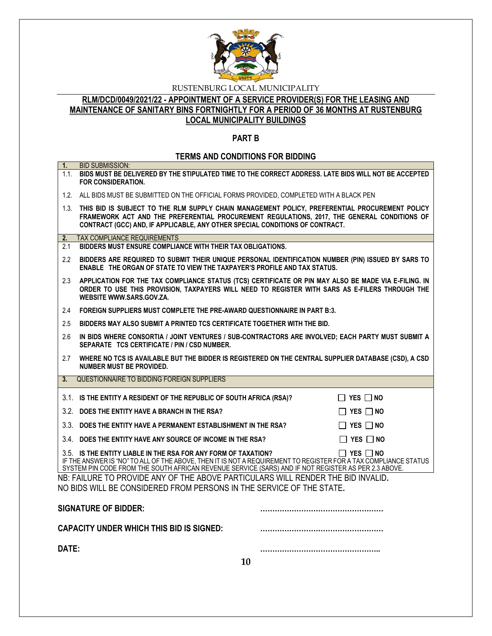

**RLM/DCD/0049/2021/22 - APPOINTMENT OF A SERVICE PROVIDER(S) FOR THE LEASING AND MAINTENANCE OF SANITARY BINS FORTNIGHTLY FOR A PERIOD OF 36 MONTHS AT RUSTENBURG LOCAL MUNICIPALITY BUILDINGS**

## **PART B**

## **TERMS AND CONDITIONS FOR BIDDING**

| 1 <sub>1</sub> | <b>BID SUBMISSION:</b>                                                                                                                                                                                                                                                                                           |  |  |  |
|----------------|------------------------------------------------------------------------------------------------------------------------------------------------------------------------------------------------------------------------------------------------------------------------------------------------------------------|--|--|--|
|                | 1.1. BIDS MUST BE DELIVERED BY THE STIPULATED TIME TO THE CORRECT ADDRESS. LATE BIDS WILL NOT BE ACCEPTED<br><b>FOR CONSIDERATION.</b>                                                                                                                                                                           |  |  |  |
|                | 1.2. ALL BIDS MUST BE SUBMITTED ON THE OFFICIAL FORMS PROVIDED, COMPLETED WITH A BLACK PEN                                                                                                                                                                                                                       |  |  |  |
|                | 1.3. THIS BID IS SUBJECT TO THE RLM SUPPLY CHAIN MANAGEMENT POLICY, PREFERENTIAL PROCUREMENT POLICY<br>FRAMEWORK ACT AND THE PREFERENTIAL PROCUREMENT REGULATIONS, 2017, THE GENERAL CONDITIONS OF<br>CONTRACT (GCC) AND, IF APPLICABLE, ANY OTHER SPECIAL CONDITIONS OF CONTRACT.                               |  |  |  |
| 2.             | <b>TAX COMPLIANCE REQUIREMENTS</b>                                                                                                                                                                                                                                                                               |  |  |  |
| 2.1            | BIDDERS MUST ENSURE COMPLIANCE WITH THEIR TAX OBLIGATIONS.                                                                                                                                                                                                                                                       |  |  |  |
| $2.2^{\circ}$  | BIDDERS ARE REQUIRED TO SUBMIT THEIR UNIQUE PERSONAL IDENTIFICATION NUMBER (PIN) ISSUED BY SARS TO<br><b>ENABLE THE ORGAN OF STATE TO VIEW THE TAXPAYER'S PROFILE AND TAX STATUS.</b>                                                                                                                            |  |  |  |
| 2.3            | APPLICATION FOR THE TAX COMPLIANCE STATUS (TCS) CERTIFICATE OR PIN MAY ALSO BE MADE VIA E-FILING. IN<br>ORDER TO USE THIS PROVISION, TAXPAYERS WILL NEED TO REGISTER WITH SARS AS E-FILERS THROUGH THE<br>WEBSITE WWW.SARS.GOV.ZA.                                                                               |  |  |  |
| 2.4            | FOREIGN SUPPLIERS MUST COMPLETE THE PRE-AWARD QUESTIONNAIRE IN PART B:3.                                                                                                                                                                                                                                         |  |  |  |
| 2.5            | BIDDERS MAY ALSO SUBMIT A PRINTED TCS CERTIFICATE TOGETHER WITH THE BID.                                                                                                                                                                                                                                         |  |  |  |
| 2.6            | IN BIDS WHERE CONSORTIA / JOINT VENTURES / SUB-CONTRACTORS ARE INVOLVED; EACH PARTY MUST SUBMIT A<br>SEPARATE TCS CERTIFICATE / PIN / CSD NUMBER.                                                                                                                                                                |  |  |  |
| 2.7            | WHERE NO TCS IS AVAILABLE BUT THE BIDDER IS REGISTERED ON THE CENTRAL SUPPLIER DATABASE (CSD), A CSD<br><b>NUMBER MUST BE PROVIDED.</b>                                                                                                                                                                          |  |  |  |
| 3.             | QUESTIONNAIRE TO BIDDING FOREIGN SUPPLIERS                                                                                                                                                                                                                                                                       |  |  |  |
|                | 3.1. IS THE ENTITY A RESIDENT OF THE REPUBLIC OF SOUTH AFRICA (RSA)?<br>$\Box$ YES $\Box$ No                                                                                                                                                                                                                     |  |  |  |
|                | 3.2. DOES THE ENTITY HAVE A BRANCH IN THE RSA?<br>$\Box$ YES $\Box$ NO                                                                                                                                                                                                                                           |  |  |  |
|                | 3.3. DOES THE ENTITY HAVE A PERMANENT ESTABLISHMENT IN THE RSA?<br>$\Box$ YES $\Box$ NO                                                                                                                                                                                                                          |  |  |  |
|                | 3.4. DOES THE ENTITY HAVE ANY SOURCE OF INCOME IN THE RSA?<br>$\Box$ Yes $\Box$ No                                                                                                                                                                                                                               |  |  |  |
|                | 3.5. IS THE ENTITY LIABLE IN THE RSA FOR ANY FORM OF TAXATION?<br>$\Box$ Yes $\Box$ No<br>IF THE ANSWER IS "NO" TO ALL OF THE ABOVE, THEN IT IS NOT A REQUIREMENT TO REGISTER FOR A TAX COMPLIANCE STATUS<br>SYSTEM PIN CODE FROM THE SOUTH AFRICAN REVENUE SERVICE (SARS) AND IF NOT REGISTER AS PER 2.3 ABOVE. |  |  |  |
|                | NB: FAILURE TO PROVIDE ANY OF THE ABOVE PARTICULARS WILL RENDER THE BID INVALID.<br>NO BIDS WILL BE CONSIDERED FROM PERSONS IN THE SERVICE OF THE STATE.                                                                                                                                                         |  |  |  |
|                | <b>SIGNATURE OF BIDDER:</b>                                                                                                                                                                                                                                                                                      |  |  |  |
|                | <b>CAPACITY UNDER WHICH THIS BID IS SIGNED:</b>                                                                                                                                                                                                                                                                  |  |  |  |
| DATE:          |                                                                                                                                                                                                                                                                                                                  |  |  |  |
|                | 10                                                                                                                                                                                                                                                                                                               |  |  |  |
|                |                                                                                                                                                                                                                                                                                                                  |  |  |  |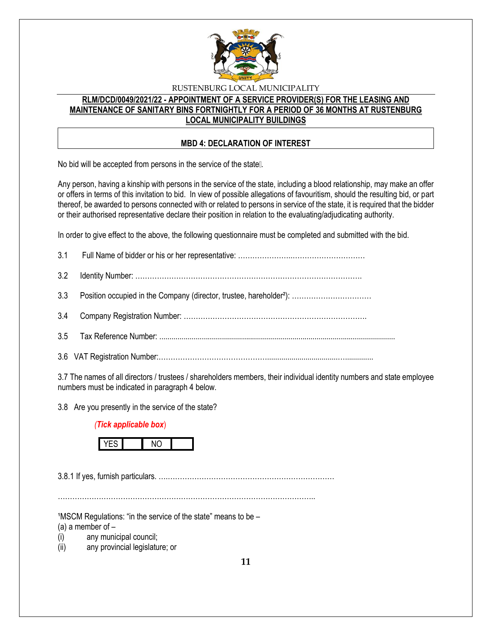

## **RLM/DCD/0049/2021/22 - APPOINTMENT OF A SERVICE PROVIDER(S) FOR THE LEASING AND MAINTENANCE OF SANITARY BINS FORTNIGHTLY FOR A PERIOD OF 36 MONTHS AT RUSTENBURG LOCAL MUNICIPALITY BUILDINGS**

## **MBD 4: DECLARATION OF INTEREST**

No bid will be accepted from persons in the service of the state...

Any person, having a kinship with persons in the service of the state, including a blood relationship, may make an offer or offers in terms of this invitation to bid. In view of possible allegations of favouritism, should the resulting bid, or part thereof, be awarded to persons connected with or related to persons in service of the state, it is required that the bidder or their authorised representative declare their position in relation to the evaluating/adjudicating authority.

In order to give effect to the above, the following questionnaire must be completed and submitted with the bid.

3.7 The names of all directors / trustees / shareholders members, their individual identity numbers and state employee numbers must be indicated in paragraph 4 below.

3.8 Are you presently in the service of the state?

## *(Tick applicable box*)



3.8.1 If yes, furnish particulars. ….……………………………………………………………

……………………………………………………………………………………………..

 $1$ MSCM Regulations: "in the service of the state" means to be  $-$ 

(a) a member of  $-$ 

(i) any municipal council;

(ii) any provincial legislature; or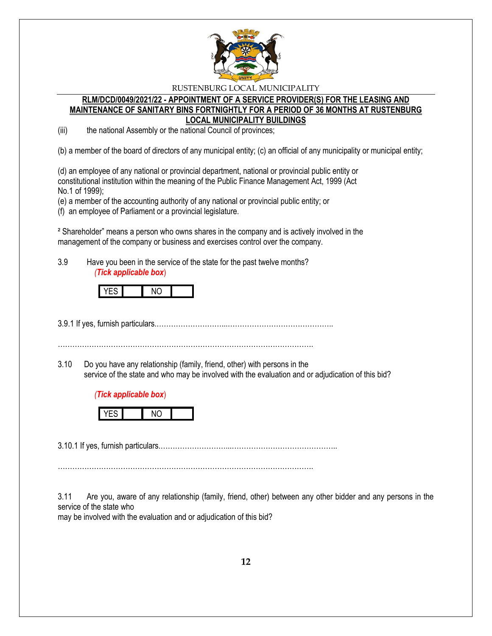

#### **RLM/DCD/0049/2021/22 - APPOINTMENT OF A SERVICE PROVIDER(S) FOR THE LEASING AND MAINTENANCE OF SANITARY BINS FORTNIGHTLY FOR A PERIOD OF 36 MONTHS AT RUSTENBURG LOCAL MUNICIPALITY BUILDINGS**

(iii) the national Assembly or the national Council of provinces;

(b) a member of the board of directors of any municipal entity; (c) an official of any municipality or municipal entity;

(d) an employee of any national or provincial department, national or provincial public entity or constitutional institution within the meaning of the Public Finance Management Act, 1999 (Act No.1 of 1999);

(e) a member of the accounting authority of any national or provincial public entity; or

(f) an employee of Parliament or a provincial legislature.

² Shareholder" means a person who owns shares in the company and is actively involved in the management of the company or business and exercises control over the company.

3.9 Have you been in the service of the state for the past twelve months? *(Tick applicable box*)



3.9.1 If yes, furnish particulars.………………………...……………………………………..

…………………………………………………………………………………………….

3.10 Do you have any relationship (family, friend, other) with persons in the service of the state and who may be involved with the evaluation and or adjudication of this bid?

#### *(Tick applicable box*)



3.10.1 If yes, furnish particulars.………………………...……………………………………..

…………………………………………………………………………………………….

3.11 Are you, aware of any relationship (family, friend, other) between any other bidder and any persons in the service of the state who

may be involved with the evaluation and or adjudication of this bid?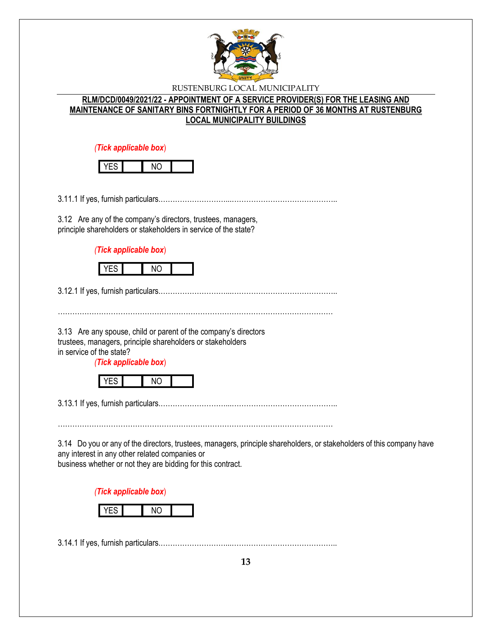

## **RLM/DCD/0049/2021/22 - APPOINTMENT OF A SERVICE PROVIDER(S) FOR THE LEASING AND MAINTENANCE OF SANITARY BINS FORTNIGHTLY FOR A PERIOD OF 36 MONTHS AT RUSTENBURG LOCAL MUNICIPALITY BUILDINGS**

*(Tick applicable box*)

3.11.1 If yes, furnish particulars.………………………...……………………………………..

3.12 Are any of the company's directors, trustees, managers, principle shareholders or stakeholders in service of the state?

*(Tick applicable box*)



3.12.1 If yes, furnish particulars.………………………...……………………………………..

3.13 Are any spouse, child or parent of the company's directors trustees, managers, principle shareholders or stakeholders in service of the state?

*(Tick applicable box*)

|--|

3.13.1 If yes, furnish particulars.………………………...……………………………………..

……………………………………………………………………………………………………

3.14 Do you or any of the directors, trustees, managers, principle shareholders, or stakeholders of this company have any interest in any other related companies or business whether or not they are bidding for this contract.

*(Tick applicable box*)



3.14.1 If yes, furnish particulars.………………………...……………………………………..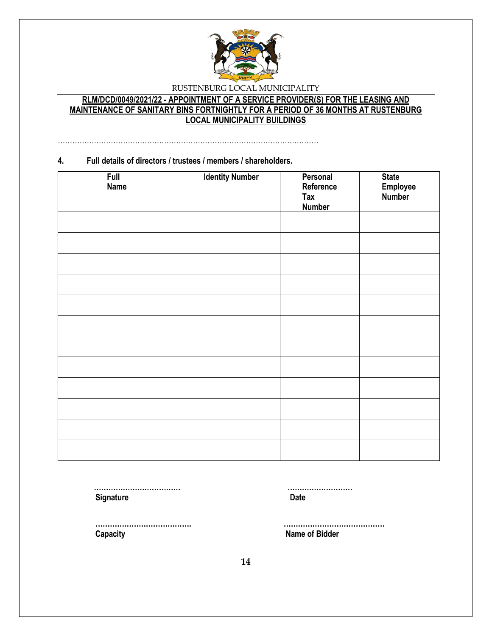

# **RLM/DCD/0049/2021/22 - APPOINTMENT OF A SERVICE PROVIDER(S) FOR THE LEASING AND MAINTENANCE OF SANITARY BINS FORTNIGHTLY FOR A PERIOD OF 36 MONTHS AT RUSTENBURG LOCAL MUNICIPALITY BUILDINGS**

………………………………………………………………………………………………

### **4. Full details of directors / trustees / members / shareholders.**

| <b>Full</b><br><b>Name</b> | <b>Identity Number</b> | Personal<br>Reference<br>Tax<br><b>Number</b> | <b>State</b><br>Employee<br>Number |
|----------------------------|------------------------|-----------------------------------------------|------------------------------------|
|                            |                        |                                               |                                    |
|                            |                        |                                               |                                    |
|                            |                        |                                               |                                    |
|                            |                        |                                               |                                    |
|                            |                        |                                               |                                    |
|                            |                        |                                               |                                    |
|                            |                        |                                               |                                    |
|                            |                        |                                               |                                    |
|                            |                        |                                               |                                    |
|                            |                        |                                               |                                    |
|                            |                        |                                               |                                    |
|                            |                        |                                               |                                    |

 **……………………………… ……………………… Signature Date** 

 **Capacity Name of Bidder**

 **…………………………………. ……………………………………**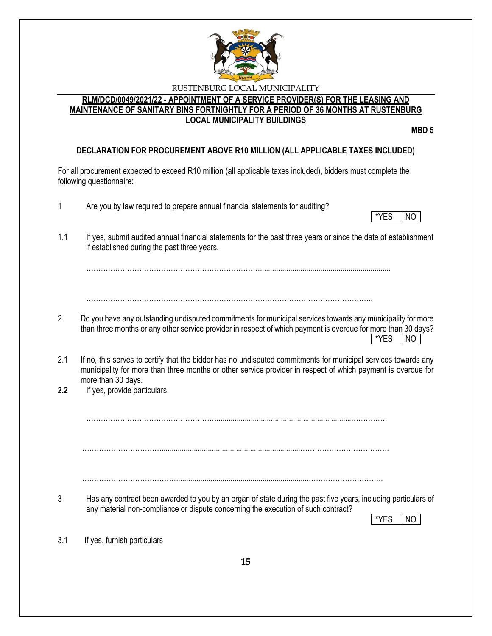

## **RLM/DCD/0049/2021/22 - APPOINTMENT OF A SERVICE PROVIDER(S) FOR THE LEASING AND MAINTENANCE OF SANITARY BINS FORTNIGHTLY FOR A PERIOD OF 36 MONTHS AT RUSTENBURG LOCAL MUNICIPALITY BUILDINGS**

**MBD 5**

# **DECLARATION FOR PROCUREMENT ABOVE R10 MILLION (ALL APPLICABLE TAXES INCLUDED)**

For all procurement expected to exceed R10 million (all applicable taxes included), bidders must complete the following questionnaire:

- 1 Are you by law required to prepare annual financial statements for auditing?
- \*YES NO
- 1.1 If yes, submit audited annual financial statements for the past three years or since the date of establishment if established during the past three years.

……………………………………………………………….................................................................

………………………………………………………………………………………………………..

- 2 Do you have any outstanding undisputed commitments for municipal services towards any municipality for more than three months or any other service provider in respect of which payment is overdue for more than 30 days?  $*$ YES  $|$  NO
- 2.1 If no, this serves to certify that the bidder has no undisputed commitments for municipal services towards any municipality for more than three months or other service provider in respect of which payment is overdue for more than 30 days.
- **2.2** If yes, provide particulars.

………………………………………………...................................................................……………

…………………………….....................................................................……………………………….

…………………………………..................................................................………………………….

3 Has any contract been awarded to you by an organ of state during the past five years, including particulars of any material non-compliance or dispute concerning the execution of such contract?

\*YES I NO

3.1 If yes, furnish particulars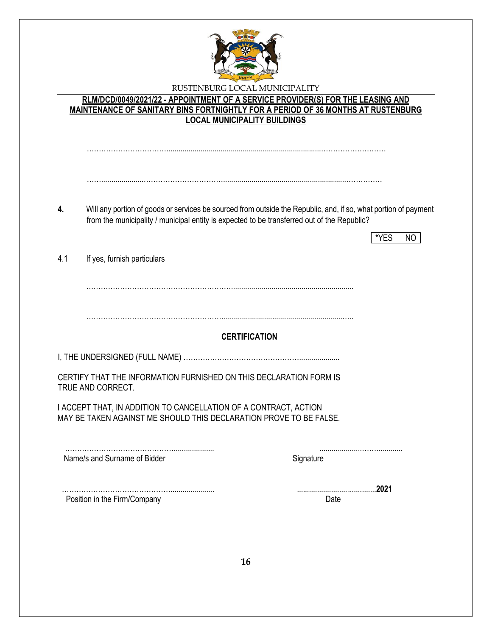

|     | RLM/DCD/0049/2021/22 - APPOINTMENT OF A SERVICE PROVIDER(S) FOR THE LEASING AND<br><b>LOCAL MUNICIPALITY BUILDINGS</b>                 | MAINTENANCE OF SANITARY BINS FORTNIGHTLY FOR A PERIOD OF 36 MONTHS AT RUSTENBURG                                               |
|-----|----------------------------------------------------------------------------------------------------------------------------------------|--------------------------------------------------------------------------------------------------------------------------------|
|     |                                                                                                                                        |                                                                                                                                |
|     |                                                                                                                                        |                                                                                                                                |
| 4.  | from the municipality / municipal entity is expected to be transferred out of the Republic?                                            | Will any portion of goods or services be sourced from outside the Republic, and, if so, what portion of payment<br>*YES<br>NO. |
| 4.1 | If yes, furnish particulars                                                                                                            |                                                                                                                                |
|     |                                                                                                                                        |                                                                                                                                |
|     |                                                                                                                                        | <b>CERTIFICATION</b>                                                                                                           |
|     |                                                                                                                                        |                                                                                                                                |
|     | CERTIFY THAT THE INFORMATION FURNISHED ON THIS DECLARATION FORM IS<br>TRUE AND CORRECT.                                                |                                                                                                                                |
|     | I ACCEPT THAT, IN ADDITION TO CANCELLATION OF A CONTRACT, ACTION<br>MAY BE TAKEN AGAINST ME SHOULD THIS DECLARATION PROVE TO BE FALSE. |                                                                                                                                |
|     | Name/s and Surname of Bidder                                                                                                           | Signature                                                                                                                      |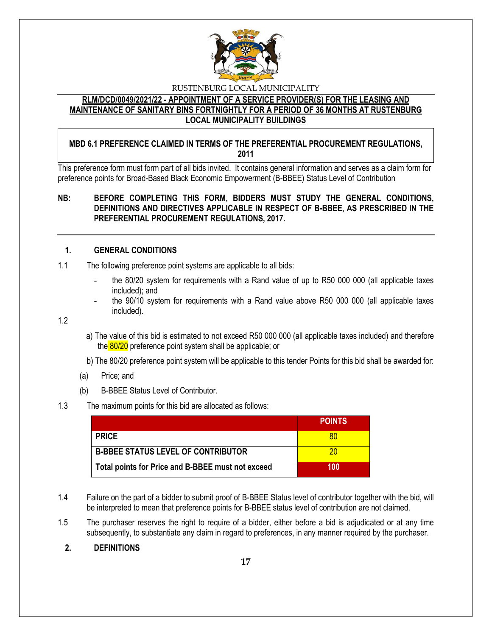

## **RLM/DCD/0049/2021/22 - APPOINTMENT OF A SERVICE PROVIDER(S) FOR THE LEASING AND MAINTENANCE OF SANITARY BINS FORTNIGHTLY FOR A PERIOD OF 36 MONTHS AT RUSTENBURG LOCAL MUNICIPALITY BUILDINGS**

## **MBD 6.1 PREFERENCE CLAIMED IN TERMS OF THE PREFERENTIAL PROCUREMENT REGULATIONS, 2011**

This preference form must form part of all bids invited. It contains general information and serves as a claim form for preference points for Broad-Based Black Economic Empowerment (B-BBEE) Status Level of Contribution

## **NB: BEFORE COMPLETING THIS FORM, BIDDERS MUST STUDY THE GENERAL CONDITIONS, DEFINITIONS AND DIRECTIVES APPLICABLE IN RESPECT OF B-BBEE, AS PRESCRIBED IN THE PREFERENTIAL PROCUREMENT REGULATIONS, 2017.**

## **1. GENERAL CONDITIONS**

- 1.1 The following preference point systems are applicable to all bids:
	- the 80/20 system for requirements with a Rand value of up to R50 000 000 (all applicable taxes included); and
	- the 90/10 system for requirements with a Rand value above R50 000 000 (all applicable taxes included).

1.2

- a) The value of this bid is estimated to not exceed R50 000 000 (all applicable taxes included) and therefore the 80/20 preference point system shall be applicable; or
- b) The 80/20 preference point system will be applicable to this tender Points for this bid shall be awarded for:
- (a) Price; and
- (b) B-BBEE Status Level of Contributor.

#### 1.3 The maximum points for this bid are allocated as follows:

|                                                   | <b>POINTS</b> |
|---------------------------------------------------|---------------|
| <b>PRICE</b>                                      |               |
| <b>B-BBEE STATUS LEVEL OF CONTRIBUTOR</b>         | ንበ            |
| Total points for Price and B-BBEE must not exceed | 100           |

- 1.4 Failure on the part of a bidder to submit proof of B-BBEE Status level of contributor together with the bid, will be interpreted to mean that preference points for B-BBEE status level of contribution are not claimed.
- 1.5 The purchaser reserves the right to require of a bidder, either before a bid is adjudicated or at any time subsequently, to substantiate any claim in regard to preferences, in any manner required by the purchaser.

## **2. DEFINITIONS**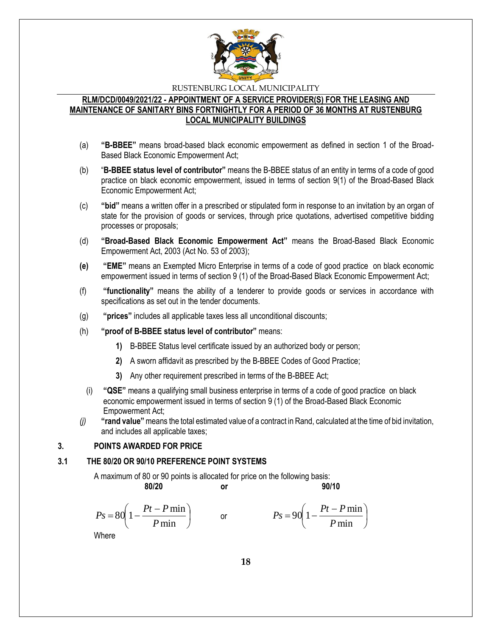

## **RLM/DCD/0049/2021/22 - APPOINTMENT OF A SERVICE PROVIDER(S) FOR THE LEASING AND MAINTENANCE OF SANITARY BINS FORTNIGHTLY FOR A PERIOD OF 36 MONTHS AT RUSTENBURG LOCAL MUNICIPALITY BUILDINGS**

- (a) **"B-BBEE"** means broad-based black economic empowerment as defined in section 1 of the Broad-Based Black Economic Empowerment Act;
- (b) "**B-BBEE status level of contributor"** means the B-BBEE status of an entity in terms of a code of good practice on black economic empowerment, issued in terms of section 9(1) of the Broad-Based Black Economic Empowerment Act;
- (c) **"bid"** means a written offer in a prescribed or stipulated form in response to an invitation by an organ of state for the provision of goods or services, through price quotations, advertised competitive bidding processes or proposals;
- (d) **"Broad-Based Black Economic Empowerment Act"** means the Broad-Based Black Economic Empowerment Act, 2003 (Act No. 53 of 2003);
- **(e) "EME"** means an Exempted Micro Enterprise in terms of a code of good practice on black economic empowerment issued in terms of section 9 (1) of the Broad-Based Black Economic Empowerment Act;
- (f) **"functionality"** means the ability of a tenderer to provide goods or services in accordance with specifications as set out in the tender documents.
- (g) **"prices"** includes all applicable taxes less all unconditional discounts;
- (h) **"proof of B-BBEE status level of contributor"** means:
	- **1)** B-BBEE Status level certificate issued by an authorized body or person;
	- **2)** A sworn affidavit as prescribed by the B-BBEE Codes of Good Practice;
	- **3)** Any other requirement prescribed in terms of the B-BBEE Act;
	- (i) **"QSE"** means a qualifying small business enterprise in terms of a code of good practice on black economic empowerment issued in terms of section 9 (1) of the Broad-Based Black Economic Empowerment Act;
- *(j)* **"rand value"**means the total estimated value of a contract in Rand, calculated at the time of bid invitation, and includes all applicable taxes;

## **3. POINTS AWARDED FOR PRICE**

#### **3.1 THE 80/20 OR 90/10 PREFERENCE POINT SYSTEMS**

A maximum of 80 or 90 points is allocated for price on the following basis:

$$
f_{\rm{max}}
$$

**80/20 or 90/10**

I

$$
Ps = 80\left(1 - \frac{Pt - P\min P}{\min}\right) \qquad \text{or} \qquad \qquad Ps = 90\left(1 - \frac{Pt - P\min P}{\min}\right)
$$

Where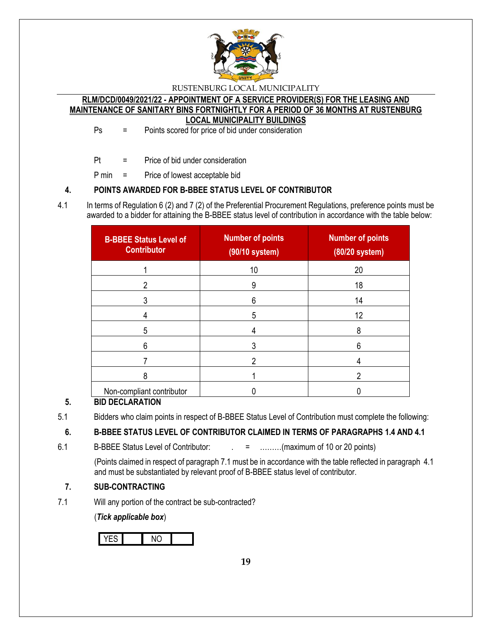

**RLM/DCD/0049/2021/22 - APPOINTMENT OF A SERVICE PROVIDER(S) FOR THE LEASING AND MAINTENANCE OF SANITARY BINS FORTNIGHTLY FOR A PERIOD OF 36 MONTHS AT RUSTENBURG LOCAL MUNICIPALITY BUILDINGS**

Ps = Points scored for price of bid under consideration

- Pt = Price of bid under consideration
- P min = Price of lowest acceptable bid

## **4. POINTS AWARDED FOR B-BBEE STATUS LEVEL OF CONTRIBUTOR**

4.1 In terms of Regulation 6 (2) and 7 (2) of the Preferential Procurement Regulations, preference points must be awarded to a bidder for attaining the B-BBEE status level of contribution in accordance with the table below:

| <b>B-BBEE Status Level of</b><br><b>Contributor</b> | <b>Number of points</b><br>(90/10 system) | <b>Number of points</b><br>(80/20 system) |
|-----------------------------------------------------|-------------------------------------------|-------------------------------------------|
|                                                     | 10                                        | 20                                        |
| 2                                                   | 9                                         | 18                                        |
|                                                     | 6                                         | 14                                        |
|                                                     | 5                                         | 12                                        |
| 5                                                   |                                           | 8                                         |
| 6                                                   |                                           | 6                                         |
|                                                     |                                           |                                           |
| 8                                                   |                                           | າ                                         |
| Non-compliant contributor                           |                                           |                                           |

# **5. BID DECLARATION**

5.1 Bidders who claim points in respect of B-BBEE Status Level of Contribution must complete the following:

# **6. B-BBEE STATUS LEVEL OF CONTRIBUTOR CLAIMED IN TERMS OF PARAGRAPHS 1.4 AND 4.1**

6.1 B-BBEE Status Level of Contributor:  $\qquad \qquad = \qquad \qquad \qquad$  .........(maximum of 10 or 20 points)

(Points claimed in respect of paragraph 7.1 must be in accordance with the table reflected in paragraph 4.1 and must be substantiated by relevant proof of B-BBEE status level of contributor.

# **7. SUB-CONTRACTING**

7.1 Will any portion of the contract be sub-contracted?

(*Tick applicable box*)

YES NO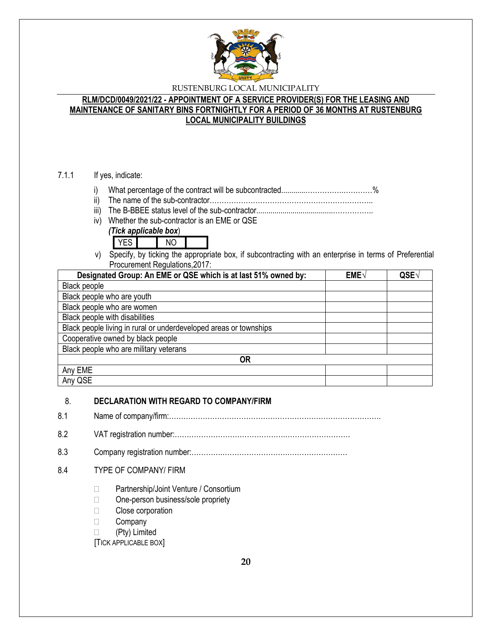

## **RLM/DCD/0049/2021/22 - APPOINTMENT OF A SERVICE PROVIDER(S) FOR THE LEASING AND MAINTENANCE OF SANITARY BINS FORTNIGHTLY FOR A PERIOD OF 36 MONTHS AT RUSTENBURG LOCAL MUNICIPALITY BUILDINGS**

### 7.1.1 If yes, indicate:

- i) What percentage of the contract will be subcontracted............…………….…………%
- ii) The name of the sub-contractor…………………………………………………………..
- iii) The B-BBEE status level of the sub-contractor......................................……………..
- iv) Whether the sub-contractor is an EME or QSE





v) Specify, by ticking the appropriate box, if subcontracting with an enterprise in terms of Preferential Procurement Regulations,2017:

| Designated Group: An EME or QSE which is at last 51% owned by:    | $EME\sqrt{}$ | QSE√ |
|-------------------------------------------------------------------|--------------|------|
| Black people                                                      |              |      |
| Black people who are youth                                        |              |      |
| Black people who are women                                        |              |      |
| Black people with disabilities                                    |              |      |
| Black people living in rural or underdeveloped areas or townships |              |      |
| Cooperative owned by black people                                 |              |      |
| Black people who are military veterans                            |              |      |
| 0R                                                                |              |      |
| Any EME                                                           |              |      |
| Any QSE                                                           |              |      |

## 8. **DECLARATION WITH REGARD TO COMPANY/FIRM**

- 8.1 Name of company/firm:…………………………………………………………………………….
- 8.2 VAT registration number:……………………………………….………………………
- 8.3 Company registration number:………….……………………….……………………

## 8.4 TYPE OF COMPANY/ FIRM

- □ Partnership/Joint Venture / Consortium
- □ One-person business/sole propriety
- □ Close corporation
- **Company**
- (Pty) Limited

[TICK APPLICABLE BOX]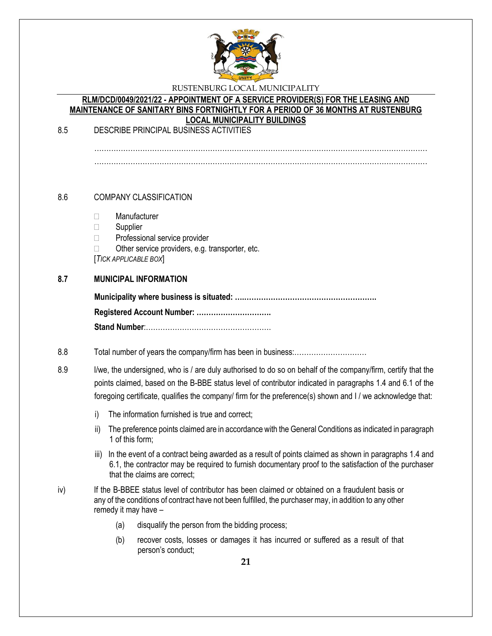

#### **RLM/DCD/0049/2021/22 - APPOINTMENT OF A SERVICE PROVIDER(S) FOR THE LEASING AND MAINTENANCE OF SANITARY BINS FORTNIGHTLY FOR A PERIOD OF 36 MONTHS AT RUSTENBURG LOCAL MUNICIPALITY BUILDINGS**

8.5 DESCRIBE PRINCIPAL BUSINESS ACTIVITIES

…………………………………………………………………………………………………………………………

## 8.6 COMPANY CLASSIFICATION

- Manufacturer
- □ Supplier
- □ Professional service provider
- $\Box$  Other service providers, e.g. transporter, etc.

[*TICK APPLICABLE BOX*]

## **8.7 MUNICIPAL INFORMATION**

#### 8.8 Total number of years the company/firm has been in business:…………………………

8.9 I/we, the undersigned, who is / are duly authorised to do so on behalf of the company/firm, certify that the points claimed, based on the B-BBE status level of contributor indicated in paragraphs 1.4 and 6.1 of the foregoing certificate, qualifies the company/ firm for the preference(s) shown and I / we acknowledge that:

- i) The information furnished is true and correct;
- ii) The preference points claimed are in accordance with the General Conditions as indicated in paragraph 1 of this form;
- iii) In the event of a contract being awarded as a result of points claimed as shown in paragraphs 1.4 and 6.1, the contractor may be required to furnish documentary proof to the satisfaction of the purchaser that the claims are correct;
- iv) If the B-BBEE status level of contributor has been claimed or obtained on a fraudulent basis or any of the conditions of contract have not been fulfilled, the purchaser may, in addition to any other remedy it may have –
	- (a) disqualify the person from the bidding process;
	- (b) recover costs, losses or damages it has incurred or suffered as a result of that person's conduct;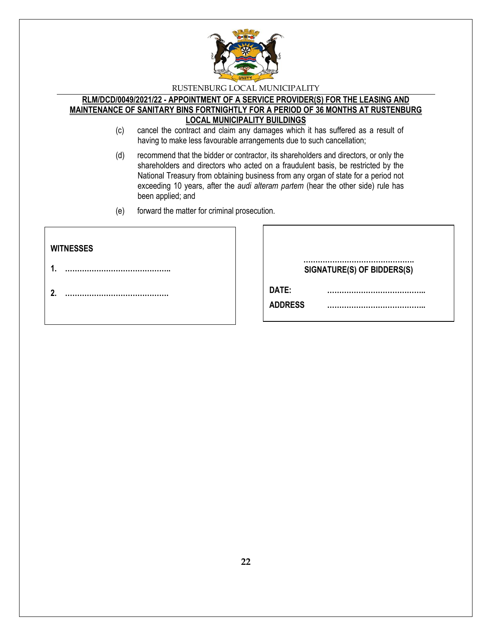

#### **RLM/DCD/0049/2021/22 - APPOINTMENT OF A SERVICE PROVIDER(S) FOR THE LEASING AND MAINTENANCE OF SANITARY BINS FORTNIGHTLY FOR A PERIOD OF 36 MONTHS AT RUSTENBURG LOCAL MUNICIPALITY BUILDINGS**

- (c) cancel the contract and claim any damages which it has suffered as a result of having to make less favourable arrangements due to such cancellation;
- (d) recommend that the bidder or contractor, its shareholders and directors, or only the shareholders and directors who acted on a fraudulent basis, be restricted by the National Treasury from obtaining business from any organ of state for a period not exceeding 10 years, after the *audi alteram partem* (hear the other side) rule has been applied; and
- (e) forward the matter for criminal prosecution.

| <b>WITNESSES</b> |                                |
|------------------|--------------------------------|
| 4                | <br>SIGNATURE(S) OF BIDDERS(S) |
| 2.               | DATE:<br><b>ADDRESS</b>        |
|                  |                                |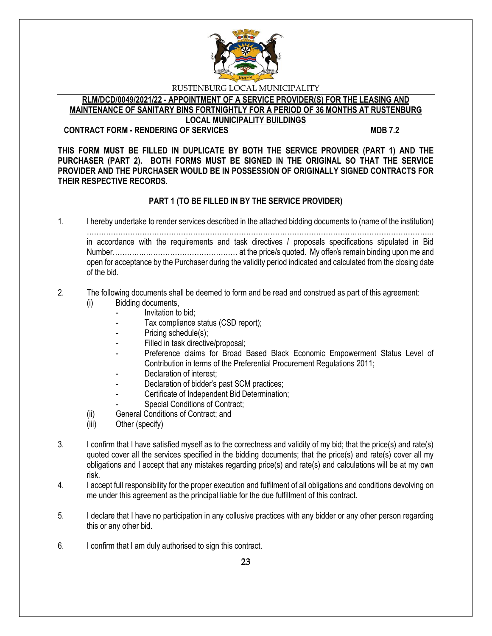

**RLM/DCD/0049/2021/22 - APPOINTMENT OF A SERVICE PROVIDER(S) FOR THE LEASING AND MAINTENANCE OF SANITARY BINS FORTNIGHTLY FOR A PERIOD OF 36 MONTHS AT RUSTENBURG LOCAL MUNICIPALITY BUILDINGS**

#### **CONTRACT FORM - RENDERING OF SERVICES MDB 7.2**

**THIS FORM MUST BE FILLED IN DUPLICATE BY BOTH THE SERVICE PROVIDER (PART 1) AND THE PURCHASER (PART 2). BOTH FORMS MUST BE SIGNED IN THE ORIGINAL SO THAT THE SERVICE PROVIDER AND THE PURCHASER WOULD BE IN POSSESSION OF ORIGINALLY SIGNED CONTRACTS FOR THEIR RESPECTIVE RECORDS.**

## **PART 1 (TO BE FILLED IN BY THE SERVICE PROVIDER)**

1. I hereby undertake to render services described in the attached bidding documents to (name of the institution) ……………………………………………………………………………………………………………………………... in accordance with the requirements and task directives / proposals specifications stipulated in Bid Number………….………………………………… at the price/s quoted. My offer/s remain binding upon me and open for acceptance by the Purchaser during the validity period indicated and calculated from the closing date of the bid.

#### 2. The following documents shall be deemed to form and be read and construed as part of this agreement: (i) Bidding documents,

- *-* Invitation to bid;
- Tax compliance status (CSD report);
- Pricing schedule(s);
- Filled in task directive/proposal;
- Preference claims for Broad Based Black Economic Empowerment Status Level of Contribution in terms of the Preferential Procurement Regulations 2011;
- *-* Declaration of interest;
- *-* Declaration of bidder's past SCM practices;
- *-* Certificate of Independent Bid Determination;
- **Special Conditions of Contract;**
- (ii) General Conditions of Contract; and
- (iii) Other (specify)
- 3. I confirm that I have satisfied myself as to the correctness and validity of my bid; that the price(s) and rate(s) quoted cover all the services specified in the bidding documents; that the price(s) and rate(s) cover all my obligations and I accept that any mistakes regarding price(s) and rate(s) and calculations will be at my own risk.
- 4. I accept full responsibility for the proper execution and fulfilment of all obligations and conditions devolving on me under this agreement as the principal liable for the due fulfillment of this contract.
- 5. I declare that I have no participation in any collusive practices with any bidder or any other person regarding this or any other bid.
- 6. I confirm that I am duly authorised to sign this contract.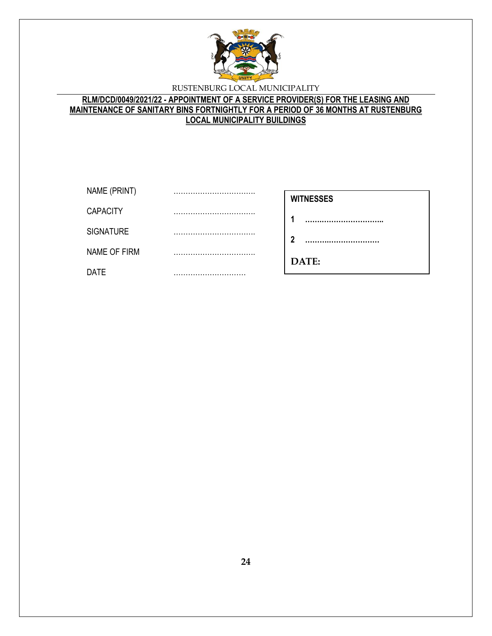

## **RLM/DCD/0049/2021/22 - APPOINTMENT OF A SERVICE PROVIDER(S) FOR THE LEASING AND MAINTENANCE OF SANITARY BINS FORTNIGHTLY FOR A PERIOD OF 36 MONTHS AT RUSTENBURG LOCAL MUNICIPALITY BUILDINGS**

| NAME (PRINT)     | <br><b>WITNESSES</b> |
|------------------|----------------------|
| <b>CAPACITY</b>  | <br>л                |
| <b>SIGNATURE</b> | <br>າ                |
| NAME OF FIRM     |                      |
| <b>DATE</b>      | <br>DATE:            |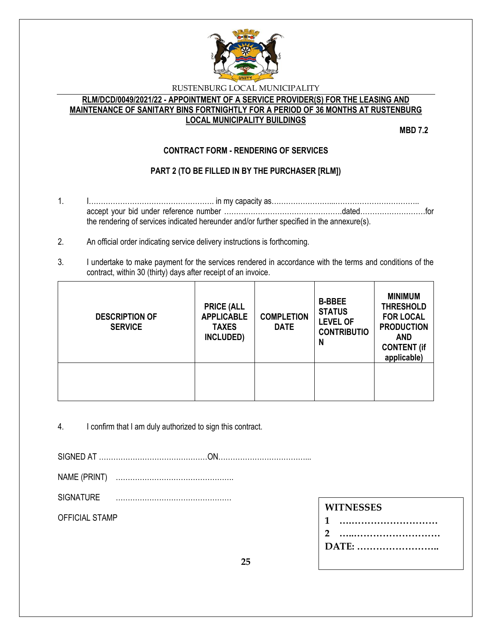

## **RLM/DCD/0049/2021/22 - APPOINTMENT OF A SERVICE PROVIDER(S) FOR THE LEASING AND MAINTENANCE OF SANITARY BINS FORTNIGHTLY FOR A PERIOD OF 36 MONTHS AT RUSTENBURG LOCAL MUNICIPALITY BUILDINGS**

**MBD 7.2**

# **CONTRACT FORM - RENDERING OF SERVICES**

# **PART 2 (TO BE FILLED IN BY THE PURCHASER [RLM])**

- 1. I……………………………………………. in my capacity as……………………...…………………………….. accept your bid under reference number ………………………………………….dated………………………for the rendering of services indicated hereunder and/or further specified in the annexure(s).
- 2. An official order indicating service delivery instructions is forthcoming.
- 3. I undertake to make payment for the services rendered in accordance with the terms and conditions of the contract, within 30 (thirty) days after receipt of an invoice.

| <b>DESCRIPTION OF</b><br><b>SERVICE</b> | <b>PRICE (ALL</b><br><b>APPLICABLE</b><br><b>TAXES</b><br>INCLUDED) | <b>COMPLETION</b><br><b>DATE</b> | <b>B-BBEE</b><br><b>STATUS</b><br><b>LEVEL OF</b><br><b>CONTRIBUTIO</b><br>N | <b>MINIMUM</b><br><b>THRESHOLD</b><br><b>FOR LOCAL</b><br><b>PRODUCTION</b><br><b>AND</b><br><b>CONTENT (if</b><br>applicable) |
|-----------------------------------------|---------------------------------------------------------------------|----------------------------------|------------------------------------------------------------------------------|--------------------------------------------------------------------------------------------------------------------------------|
|                                         |                                                                     |                                  |                                                                              |                                                                                                                                |

4. I confirm that I am duly authorized to sign this contract.

SIGNED AT ………………………………………ON………………………………...

NAME (PRINT) ………………………………………….

SIGNATURE …………………………………………

OFFICIAL STAMP

| 1     |
|-------|
| 2     |
| DATE: |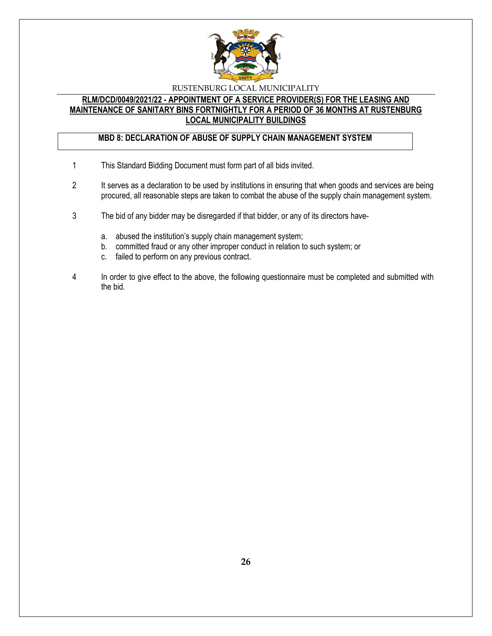

#### **RLM/DCD/0049/2021/22 - APPOINTMENT OF A SERVICE PROVIDER(S) FOR THE LEASING AND MAINTENANCE OF SANITARY BINS FORTNIGHTLY FOR A PERIOD OF 36 MONTHS AT RUSTENBURG LOCAL MUNICIPALITY BUILDINGS**

## **MBD 8: DECLARATION OF ABUSE OF SUPPLY CHAIN MANAGEMENT SYSTEM**

- 1 This Standard Bidding Document must form part of all bids invited.
- 2 It serves as a declaration to be used by institutions in ensuring that when goods and services are being procured, all reasonable steps are taken to combat the abuse of the supply chain management system.
- 3 The bid of any bidder may be disregarded if that bidder, or any of its directors have
	- a. abused the institution's supply chain management system;
	- b. committed fraud or any other improper conduct in relation to such system; or
	- c. failed to perform on any previous contract.
- 4 In order to give effect to the above, the following questionnaire must be completed and submitted with the bid.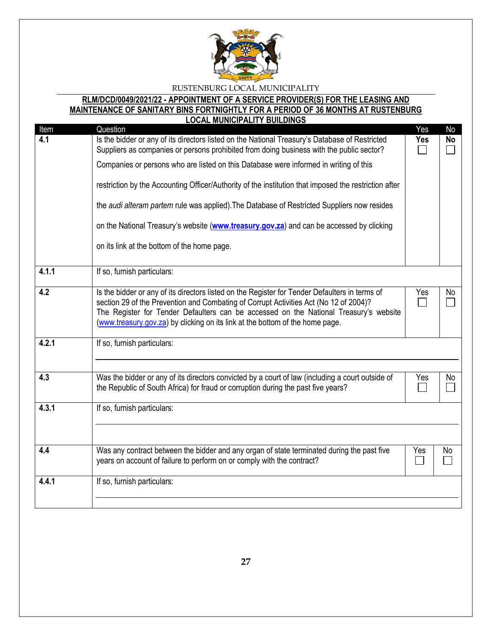

#### **RLM/DCD/0049/2021/22 - APPOINTMENT OF A SERVICE PROVIDER(S) FOR THE LEASING AND MAINTENANCE OF SANITARY BINS FORTNIGHTLY FOR A PERIOD OF 36 MONTHS AT RUSTENBURG LOCAL MUNICIPALITY BUILDINGS**

| Item                                 | <u>LUUAL MUNIUIFALITT DUILDINUJ</u><br>Question                                                                                                                                                                                                                                                                                                                   | Yes | No        |
|--------------------------------------|-------------------------------------------------------------------------------------------------------------------------------------------------------------------------------------------------------------------------------------------------------------------------------------------------------------------------------------------------------------------|-----|-----------|
| 4.1                                  | Is the bidder or any of its directors listed on the National Treasury's Database of Restricted<br>Suppliers as companies or persons prohibited from doing business with the public sector?                                                                                                                                                                        | Yes | <b>No</b> |
|                                      | Companies or persons who are listed on this Database were informed in writing of this                                                                                                                                                                                                                                                                             |     |           |
|                                      | restriction by the Accounting Officer/Authority of the institution that imposed the restriction after                                                                                                                                                                                                                                                             |     |           |
|                                      | the audi alteram partem rule was applied). The Database of Restricted Suppliers now resides                                                                                                                                                                                                                                                                       |     |           |
|                                      | on the National Treasury's website (www.treasury.gov.za) and can be accessed by clicking                                                                                                                                                                                                                                                                          |     |           |
|                                      | on its link at the bottom of the home page.                                                                                                                                                                                                                                                                                                                       |     |           |
| 4.1.1                                | If so, furnish particulars:                                                                                                                                                                                                                                                                                                                                       |     |           |
| 4.2                                  | Is the bidder or any of its directors listed on the Register for Tender Defaulters in terms of<br>section 29 of the Prevention and Combating of Corrupt Activities Act (No 12 of 2004)?<br>The Register for Tender Defaulters can be accessed on the National Treasury's website<br>(www.treasury.gov.za) by clicking on its link at the bottom of the home page. |     | No        |
| 4.2.1                                | If so, furnish particulars:                                                                                                                                                                                                                                                                                                                                       |     |           |
| 4.3                                  | Was the bidder or any of its directors convicted by a court of law (including a court outside of<br>the Republic of South Africa) for fraud or corruption during the past five years?                                                                                                                                                                             |     | No        |
| 4.3.1                                | If so, furnish particulars:                                                                                                                                                                                                                                                                                                                                       |     |           |
| 4.4                                  | Was any contract between the bidder and any organ of state terminated during the past five<br>Yes<br>years on account of failure to perform on or comply with the contract?                                                                                                                                                                                       |     | No        |
| 4.4.1<br>If so, furnish particulars: |                                                                                                                                                                                                                                                                                                                                                                   |     |           |
|                                      |                                                                                                                                                                                                                                                                                                                                                                   |     |           |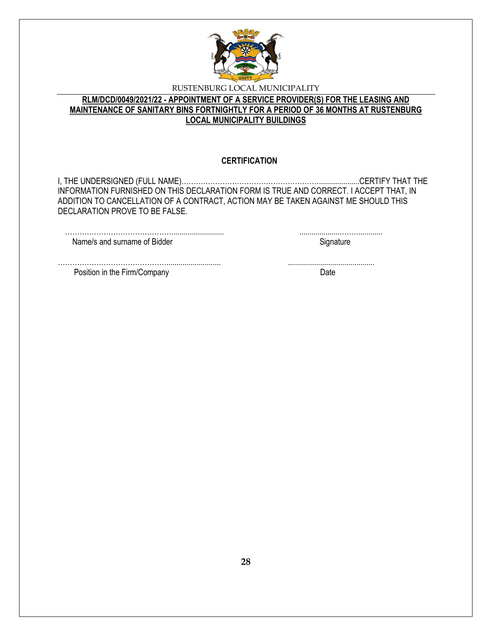

## **RLM/DCD/0049/2021/22 - APPOINTMENT OF A SERVICE PROVIDER(S) FOR THE LEASING AND MAINTENANCE OF SANITARY BINS FORTNIGHTLY FOR A PERIOD OF 36 MONTHS AT RUSTENBURG LOCAL MUNICIPALITY BUILDINGS**

### **CERTIFICATION**

I, THE UNDERSIGNED (FULL NAME)…………………………………………………....................CERTIFY THAT THE INFORMATION FURNISHED ON THIS DECLARATION FORM IS TRUE AND CORRECT. I ACCEPT THAT, IN ADDITION TO CANCELLATION OF A CONTRACT, ACTION MAY BE TAKEN AGAINST ME SHOULD THIS DECLARATION PROVE TO BE FALSE.

………………………………………........................... ...........................................

………………………………………......................... .....................……............. Name/s and surname of Bidder Signature Signature

Position in the Firm/Company Date by the Second Date of the Second Date of the Date of the Date of the Date of the Date of the Date of the Date of the Date of the Date of the Date of the Date of the Date of the Date of the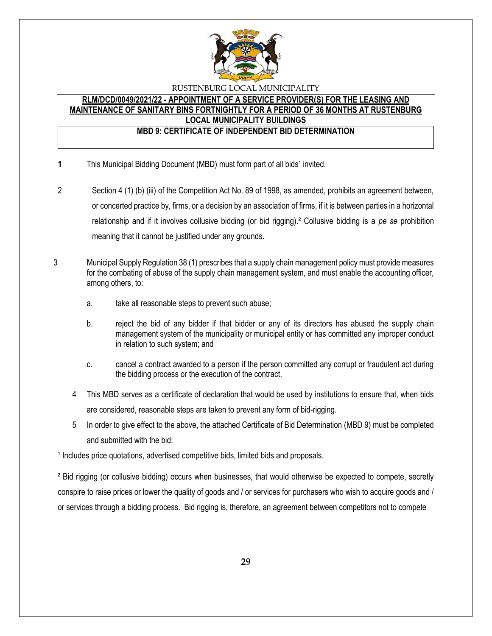

## **RLM/DCD/0049/2021/22 - APPOINTMENT OF A SERVICE PROVIDER(S) FOR THE LEASING AND MAINTENANCE OF SANITARY BINS FORTNIGHTLY FOR A PERIOD OF 36 MONTHS AT RUSTENBURG LOCAL MUNICIPALITY BUILDINGS**

#### **MBD 9: CERTIFICATE OF INDEPENDENT BID DETERMINATION**

- **1** This Municipal Bidding Document (MBD) must form part of all bids<sup>1</sup> invited.
- 2 Section 4 (1) (b) (iii) of the Competition Act No. 89 of 1998, as amended, prohibits an agreement between, or concerted practice by, firms, or a decision by an association of firms, if it is between parties in a horizontal relationship and if it involves collusive bidding (or bid rigging).² Collusive bidding is a *pe se* prohibition meaning that it cannot be justified under any grounds.
- 3 Municipal Supply Regulation 38 (1) prescribes that a supply chain management policy must provide measures for the combating of abuse of the supply chain management system, and must enable the accounting officer, among others, to:
	- a. take all reasonable steps to prevent such abuse;
	- b. reject the bid of any bidder if that bidder or any of its directors has abused the supply chain management system of the municipality or municipal entity or has committed any improper conduct in relation to such system; and
	- c. cancel a contract awarded to a person if the person committed any corrupt or fraudulent act during the bidding process or the execution of the contract.
	- 4 This MBD serves as a certificate of declaration that would be used by institutions to ensure that, when bids are considered, reasonable steps are taken to prevent any form of bid-rigging.
	- 5 In order to give effect to the above, the attached Certificate of Bid Determination (MBD 9) must be completed and submitted with the bid:

<sup>1</sup> Includes price quotations, advertised competitive bids, limited bids and proposals.

<sup>2</sup> Bid rigging (or collusive bidding) occurs when businesses, that would otherwise be expected to compete, secretly conspire to raise prices or lower the quality of goods and / or services for purchasers who wish to acquire goods and / or services through a bidding process. Bid rigging is, therefore, an agreement between competitors not to compete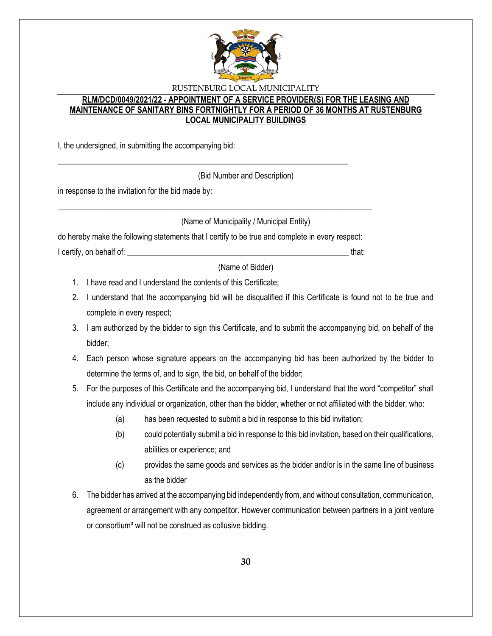

## **RLM/DCD/0049/2021/22 - APPOINTMENT OF A SERVICE PROVIDER(S) FOR THE LEASING AND MAINTENANCE OF SANITARY BINS FORTNIGHTLY FOR A PERIOD OF 36 MONTHS AT RUSTENBURG LOCAL MUNICIPALITY BUILDINGS**

I, the undersigned, in submitting the accompanying bid:

(Bid Number and Description)

in response to the invitation for the bid made by:

(Name of Municipality / Municipal Entity)

do hereby make the following statements that I certify to be true and complete in every respect: I certify, on behalf of: **We are all that:**  $\blacksquare$ 

\_\_\_\_\_\_\_\_\_\_\_\_\_\_\_\_\_\_\_\_\_\_\_\_\_\_\_\_\_\_\_\_\_\_\_\_\_\_\_\_\_\_\_\_\_\_\_\_\_\_\_\_\_\_\_\_\_\_\_\_\_\_\_\_\_\_\_\_\_\_\_\_\_\_\_\_\_\_

\_\_\_\_\_\_\_\_\_\_\_\_\_\_\_\_\_\_\_\_\_\_\_\_\_\_\_\_\_\_\_\_\_\_\_\_\_\_\_\_\_\_\_\_\_\_\_\_\_\_\_\_\_\_\_\_\_\_\_\_\_\_\_\_\_\_\_\_\_\_\_\_

(Name of Bidder)

- 1. I have read and I understand the contents of this Certificate;
- 2. I understand that the accompanying bid will be disqualified if this Certificate is found not to be true and complete in every respect;
- 3. I am authorized by the bidder to sign this Certificate, and to submit the accompanying bid, on behalf of the bidder;
- 4. Each person whose signature appears on the accompanying bid has been authorized by the bidder to determine the terms of, and to sign, the bid, on behalf of the bidder;
- 5. For the purposes of this Certificate and the accompanying bid, I understand that the word "competitor" shall include any individual or organization, other than the bidder, whether or not affiliated with the bidder, who:
	- (a) has been requested to submit a bid in response to this bid invitation;
	- (b) could potentially submit a bid in response to this bid invitation, based on their qualifications, abilities or experience; and
	- (c) provides the same goods and services as the bidder and/or is in the same line of business as the bidder
- 6. The bidder has arrived at the accompanying bid independently from, and without consultation, communication, agreement or arrangement with any competitor. However communication between partners in a joint venture or consortium<sup>3</sup> will not be construed as collusive bidding.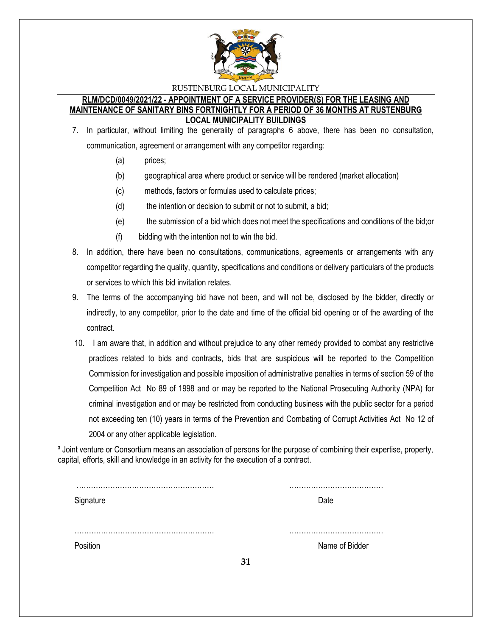

#### **RLM/DCD/0049/2021/22 - APPOINTMENT OF A SERVICE PROVIDER(S) FOR THE LEASING AND MAINTENANCE OF SANITARY BINS FORTNIGHTLY FOR A PERIOD OF 36 MONTHS AT RUSTENBURG LOCAL MUNICIPALITY BUILDINGS**

- 7. In particular, without limiting the generality of paragraphs 6 above, there has been no consultation, communication, agreement or arrangement with any competitor regarding:
	- (a) prices;
	- (b) geographical area where product or service will be rendered (market allocation)
	- (c) methods, factors or formulas used to calculate prices;
	- (d) the intention or decision to submit or not to submit, a bid;
	- (e) the submission of a bid which does not meet the specifications and conditions of the bid;or
	- (f) bidding with the intention not to win the bid.
- 8. In addition, there have been no consultations, communications, agreements or arrangements with any competitor regarding the quality, quantity, specifications and conditions or delivery particulars of the products or services to which this bid invitation relates.
- 9. The terms of the accompanying bid have not been, and will not be, disclosed by the bidder, directly or indirectly, to any competitor, prior to the date and time of the official bid opening or of the awarding of the contract.
- 10. I am aware that, in addition and without prejudice to any other remedy provided to combat any restrictive practices related to bids and contracts, bids that are suspicious will be reported to the Competition Commission for investigation and possible imposition of administrative penalties in terms of section 59 of the Competition Act No 89 of 1998 and or may be reported to the National Prosecuting Authority (NPA) for criminal investigation and or may be restricted from conducting business with the public sector for a period not exceeding ten (10) years in terms of the Prevention and Combating of Corrupt Activities Act No 12 of 2004 or any other applicable legislation.

<sup>3</sup> Joint venture or Consortium means an association of persons for the purpose of combining their expertise, property, capital, efforts, skill and knowledge in an activity for the execution of a contract.

| Signature |    | Date           |
|-----------|----|----------------|
|           |    |                |
|           |    |                |
|           |    |                |
| Position  |    | Name of Bidder |
|           | 31 |                |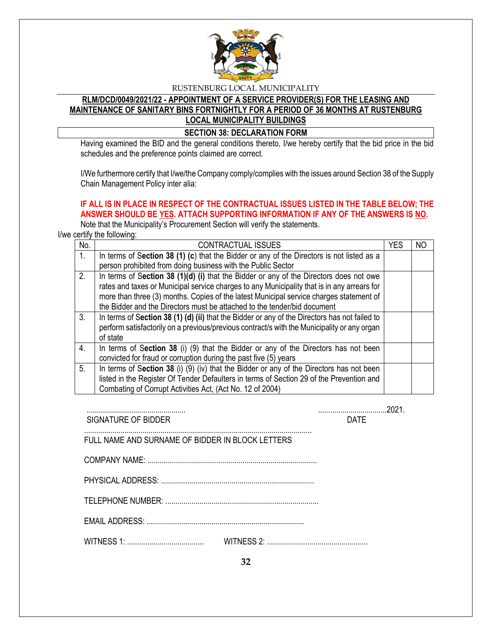

# **RLM/DCD/0049/2021/22 - APPOINTMENT OF A SERVICE PROVIDER(S) FOR THE LEASING AND MAINTENANCE OF SANITARY BINS FORTNIGHTLY FOR A PERIOD OF 36 MONTHS AT RUSTENBURG LOCAL MUNICIPALITY BUILDINGS**

#### **SECTION 38: DECLARATION FORM**

Having examined the BID and the general conditions thereto, I/we hereby certify that the bid price in the bid schedules and the preference points claimed are correct.

I/We furthermore certify that I/we/the Company comply/complies with the issues around Section 38 of the Supply Chain Management Policy inter alia:

## **IF ALL IS IN PLACE IN RESPECT OF THE CONTRACTUAL ISSUES LISTED IN THE TABLE BELOW; THE ANSWER SHOULD BE YES. ATTACH SUPPORTING INFORMATION IF ANY OF THE ANSWERS IS NO.**

Note that the Municipality's Procurement Section will verify the statements.

I/we certify the following:

| No.              | <b>CONTRACTUAL ISSUES</b>                                                                     | YES | ΝO |
|------------------|-----------------------------------------------------------------------------------------------|-----|----|
| $\mathbf{1}$ .   | In terms of Section 38 (1) (c) that the Bidder or any of the Directors is not listed as a     |     |    |
|                  | person prohibited from doing business with the Public Sector                                  |     |    |
| 2.               | In terms of Section 38 (1)(d) (i) that the Bidder or any of the Directors does not owe        |     |    |
|                  | rates and taxes or Municipal service charges to any Municipality that is in any arrears for   |     |    |
|                  | more than three (3) months. Copies of the latest Municipal service charges statement of       |     |    |
|                  | the Bidder and the Directors must be attached to the tender/bid document                      |     |    |
| 3 <sub>1</sub>   | In terms of Section 38 (1) (d) (ii) that the Bidder or any of the Directors has not failed to |     |    |
|                  | perform satisfactorily on a previous/previous contract/s with the Municipality or any organ   |     |    |
|                  | of state                                                                                      |     |    |
| $\overline{4}$ . | In terms of Section 38 (i) (9) that the Bidder or any of the Directors has not been           |     |    |
|                  | convicted for fraud or corruption during the past five (5) years                              |     |    |
| 5.               | In terms of Section 38 (i) (9) (iv) that the Bidder or any of the Directors has not been      |     |    |
|                  | listed in the Register Of Tender Defaulters in terms of Section 29 of the Prevention and      |     |    |
|                  | Combating of Corrupt Activities Act, (Act No. 12 of 2004)                                     |     |    |

| <b>SIGNATURE OF BIDDER</b>                       | <b>DATF</b> |
|--------------------------------------------------|-------------|
| FULL NAME AND SURNAME OF BIDDER IN BLOCK LETTERS |             |
|                                                  |             |
|                                                  |             |
|                                                  |             |
|                                                  |             |
|                                                  |             |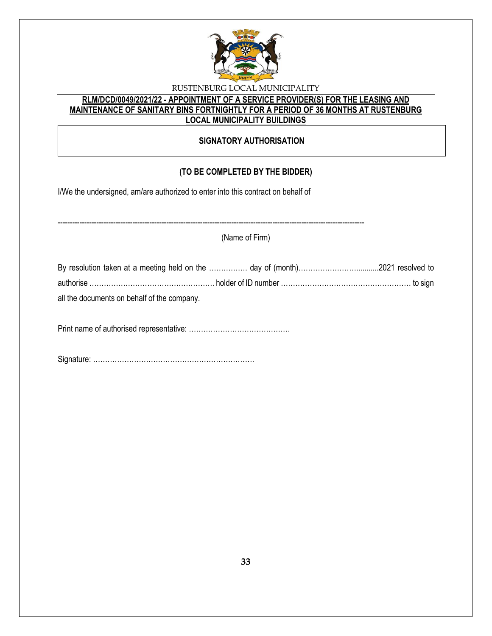

## **RLM/DCD/0049/2021/22 - APPOINTMENT OF A SERVICE PROVIDER(S) FOR THE LEASING AND MAINTENANCE OF SANITARY BINS FORTNIGHTLY FOR A PERIOD OF 36 MONTHS AT RUSTENBURG LOCAL MUNICIPALITY BUILDINGS**

## **SIGNATORY AUTHORISATION**

# **(TO BE COMPLETED BY THE BIDDER)**

-------------------------------------------------------------------------------------------------------------------------------

I/We the undersigned, am/are authorized to enter into this contract on behalf of

(Name of Firm)

| all the documents on behalf of the company. |  |
|---------------------------------------------|--|

Print name of authorised representative: ……………………………………

Signature: ………………………………………………………….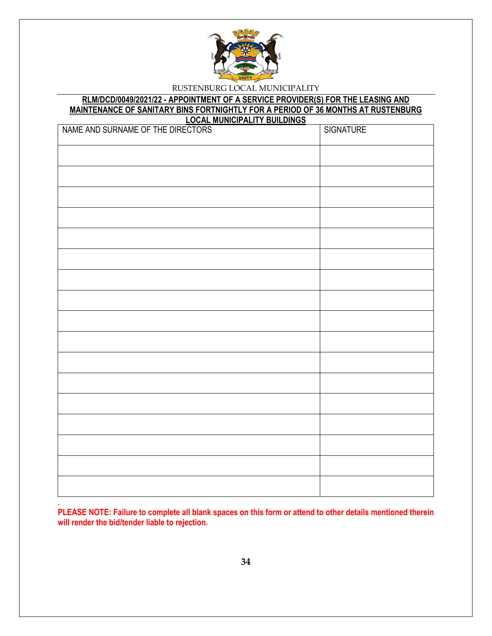

#### **RLM/DCD/0049/2021/22 - APPOINTMENT OF A SERVICE PROVIDER(S) FOR THE LEASING AND MAINTENANCE OF SANITARY BINS FORTNIGHTLY FOR A PERIOD OF 36 MONTHS AT RUSTENBURG LOCAL MUNICIPALITY BUILDINGS**

| NAME AND SURNAME OF THE DIRECTORS | <b>SIGNATURE</b> |
|-----------------------------------|------------------|
|                                   |                  |
|                                   |                  |
|                                   |                  |
|                                   |                  |
|                                   |                  |
|                                   |                  |
|                                   |                  |
|                                   |                  |
|                                   |                  |
|                                   |                  |
|                                   |                  |
|                                   |                  |
|                                   |                  |
|                                   |                  |
|                                   |                  |
|                                   |                  |
|                                   |                  |

**PLEASE NOTE: Failure to complete all blank spaces on this form or attend to other details mentioned therein will render the bid/tender liable to rejection.** 

.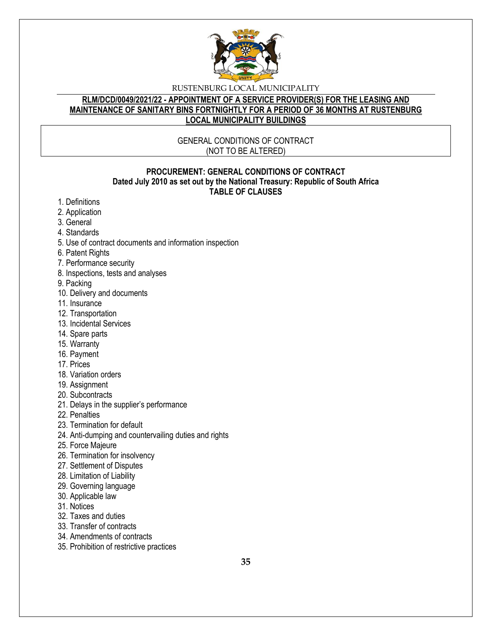

#### **RLM/DCD/0049/2021/22 - APPOINTMENT OF A SERVICE PROVIDER(S) FOR THE LEASING AND MAINTENANCE OF SANITARY BINS FORTNIGHTLY FOR A PERIOD OF 36 MONTHS AT RUSTENBURG LOCAL MUNICIPALITY BUILDINGS**

## GENERAL CONDITIONS OF CONTRACT (NOT TO BE ALTERED)

### **PROCUREMENT: GENERAL CONDITIONS OF CONTRACT Dated July 2010 as set out by the National Treasury: Republic of South Africa TABLE OF CLAUSES**

- 1. Definitions
- 2. Application
- 3. General
- 4. Standards
- 5. Use of contract documents and information inspection
- 6. Patent Rights
- 7. Performance security
- 8. Inspections, tests and analyses
- 9. Packing
- 10. Delivery and documents
- 11. Insurance
- 12. Transportation
- 13. Incidental Services
- 14. Spare parts
- 15. Warranty
- 16. Payment
- 17. Prices
- 18. Variation orders
- 19. Assignment
- 20. Subcontracts
- 21. Delays in the supplier's performance
- 22. Penalties
- 23. Termination for default
- 24. Anti-dumping and countervailing duties and rights
- 25. Force Majeure
- 26. Termination for insolvency
- 27. Settlement of Disputes
- 28. Limitation of Liability
- 29. Governing language
- 30. Applicable law
- 31. Notices
- 32. Taxes and duties
- 33. Transfer of contracts
- 34. Amendments of contracts
- 35. Prohibition of restrictive practices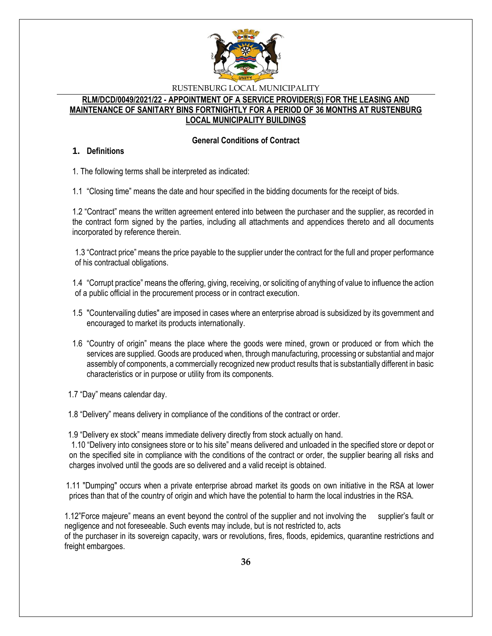

## **RLM/DCD/0049/2021/22 - APPOINTMENT OF A SERVICE PROVIDER(S) FOR THE LEASING AND MAINTENANCE OF SANITARY BINS FORTNIGHTLY FOR A PERIOD OF 36 MONTHS AT RUSTENBURG LOCAL MUNICIPALITY BUILDINGS**

### **General Conditions of Contract**

### **1. Definitions**

1. The following terms shall be interpreted as indicated:

1.1 "Closing time" means the date and hour specified in the bidding documents for the receipt of bids.

1.2 "Contract" means the written agreement entered into between the purchaser and the supplier, as recorded in the contract form signed by the parties, including all attachments and appendices thereto and all documents incorporated by reference therein.

1.3 "Contract price" means the price payable to the supplier under the contract for the full and proper performance of his contractual obligations.

1.4 "Corrupt practice" means the offering, giving, receiving, or soliciting of anything of value to influence the action of a public official in the procurement process or in contract execution.

- 1.5 "Countervailing duties" are imposed in cases where an enterprise abroad is subsidized by its government and encouraged to market its products internationally.
- 1.6 "Country of origin" means the place where the goods were mined, grown or produced or from which the services are supplied. Goods are produced when, through manufacturing, processing or substantial and major assembly of components, a commercially recognized new product results that is substantially different in basic characteristics or in purpose or utility from its components.

1.7 "Day" means calendar day.

1.8 "Delivery" means delivery in compliance of the conditions of the contract or order.

1.9 "Delivery ex stock" means immediate delivery directly from stock actually on hand.

1.10 "Delivery into consignees store or to his site" means delivered and unloaded in the specified store or depot or on the specified site in compliance with the conditions of the contract or order, the supplier bearing all risks and charges involved until the goods are so delivered and a valid receipt is obtained.

 1.11 "Dumping" occurs when a private enterprise abroad market its goods on own initiative in the RSA at lower prices than that of the country of origin and which have the potential to harm the local industries in the RSA.

1.12"Force majeure" means an event beyond the control of the supplier and not involving the supplier's fault or negligence and not foreseeable. Such events may include, but is not restricted to, acts of the purchaser in its sovereign capacity, wars or revolutions, fires, floods, epidemics, quarantine restrictions and freight embargoes.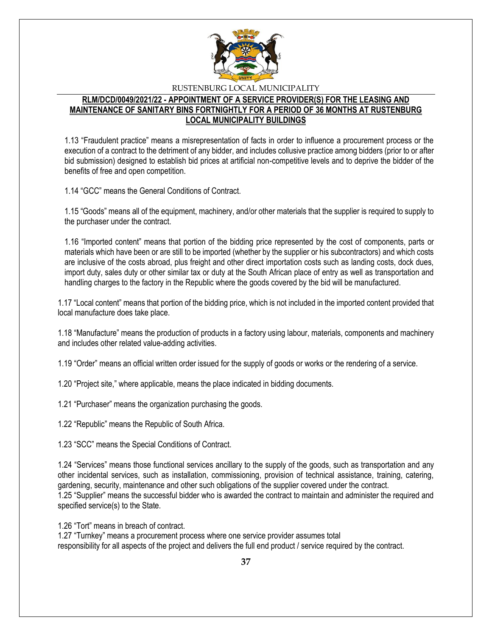

## **RLM/DCD/0049/2021/22 - APPOINTMENT OF A SERVICE PROVIDER(S) FOR THE LEASING AND MAINTENANCE OF SANITARY BINS FORTNIGHTLY FOR A PERIOD OF 36 MONTHS AT RUSTENBURG LOCAL MUNICIPALITY BUILDINGS**

1.13 "Fraudulent practice" means a misrepresentation of facts in order to influence a procurement process or the execution of a contract to the detriment of any bidder, and includes collusive practice among bidders (prior to or after bid submission) designed to establish bid prices at artificial non-competitive levels and to deprive the bidder of the benefits of free and open competition.

1.14 "GCC" means the General Conditions of Contract.

1.15 "Goods" means all of the equipment, machinery, and/or other materials that the supplier is required to supply to the purchaser under the contract.

1.16 "Imported content" means that portion of the bidding price represented by the cost of components, parts or materials which have been or are still to be imported (whether by the supplier or his subcontractors) and which costs are inclusive of the costs abroad, plus freight and other direct importation costs such as landing costs, dock dues, import duty, sales duty or other similar tax or duty at the South African place of entry as well as transportation and handling charges to the factory in the Republic where the goods covered by the bid will be manufactured.

1.17 "Local content" means that portion of the bidding price, which is not included in the imported content provided that local manufacture does take place.

1.18 "Manufacture" means the production of products in a factory using labour, materials, components and machinery and includes other related value-adding activities.

1.19 "Order" means an official written order issued for the supply of goods or works or the rendering of a service.

1.20 "Project site," where applicable, means the place indicated in bidding documents.

1.21 "Purchaser" means the organization purchasing the goods.

1.22 "Republic" means the Republic of South Africa.

1.23 "SCC" means the Special Conditions of Contract.

1.24 "Services" means those functional services ancillary to the supply of the goods, such as transportation and any other incidental services, such as installation, commissioning, provision of technical assistance, training, catering, gardening, security, maintenance and other such obligations of the supplier covered under the contract. 1.25 "Supplier" means the successful bidder who is awarded the contract to maintain and administer the required and specified service(s) to the State.

1.26 "Tort" means in breach of contract.

1.27 "Turnkey" means a procurement process where one service provider assumes total responsibility for all aspects of the project and delivers the full end product / service required by the contract.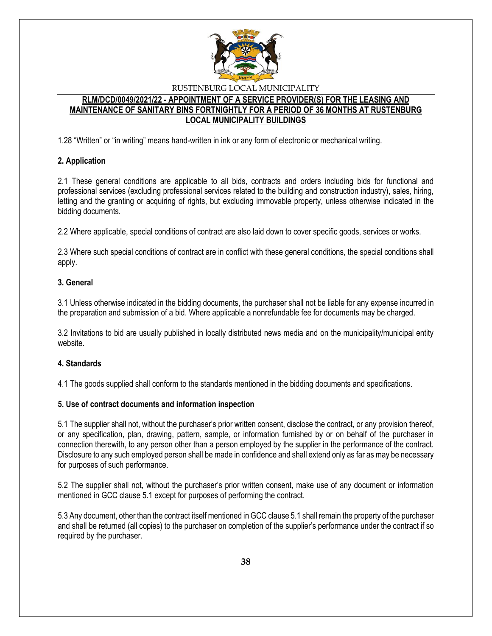

## **RLM/DCD/0049/2021/22 - APPOINTMENT OF A SERVICE PROVIDER(S) FOR THE LEASING AND MAINTENANCE OF SANITARY BINS FORTNIGHTLY FOR A PERIOD OF 36 MONTHS AT RUSTENBURG LOCAL MUNICIPALITY BUILDINGS**

1.28 "Written" or "in writing" means hand-written in ink or any form of electronic or mechanical writing.

#### **2. Application**

2.1 These general conditions are applicable to all bids, contracts and orders including bids for functional and professional services (excluding professional services related to the building and construction industry), sales, hiring, letting and the granting or acquiring of rights, but excluding immovable property, unless otherwise indicated in the bidding documents.

2.2 Where applicable, special conditions of contract are also laid down to cover specific goods, services or works.

2.3 Where such special conditions of contract are in conflict with these general conditions, the special conditions shall apply.

### **3. General**

3.1 Unless otherwise indicated in the bidding documents, the purchaser shall not be liable for any expense incurred in the preparation and submission of a bid. Where applicable a nonrefundable fee for documents may be charged.

3.2 Invitations to bid are usually published in locally distributed news media and on the municipality/municipal entity website.

#### **4. Standards**

4.1 The goods supplied shall conform to the standards mentioned in the bidding documents and specifications.

#### **5. Use of contract documents and information inspection**

5.1 The supplier shall not, without the purchaser's prior written consent, disclose the contract, or any provision thereof, or any specification, plan, drawing, pattern, sample, or information furnished by or on behalf of the purchaser in connection therewith, to any person other than a person employed by the supplier in the performance of the contract. Disclosure to any such employed person shall be made in confidence and shall extend only as far as may be necessary for purposes of such performance.

5.2 The supplier shall not, without the purchaser's prior written consent, make use of any document or information mentioned in GCC clause 5.1 except for purposes of performing the contract.

5.3 Any document, other than the contract itself mentioned in GCC clause 5.1 shall remain the property of the purchaser and shall be returned (all copies) to the purchaser on completion of the supplier's performance under the contract if so required by the purchaser.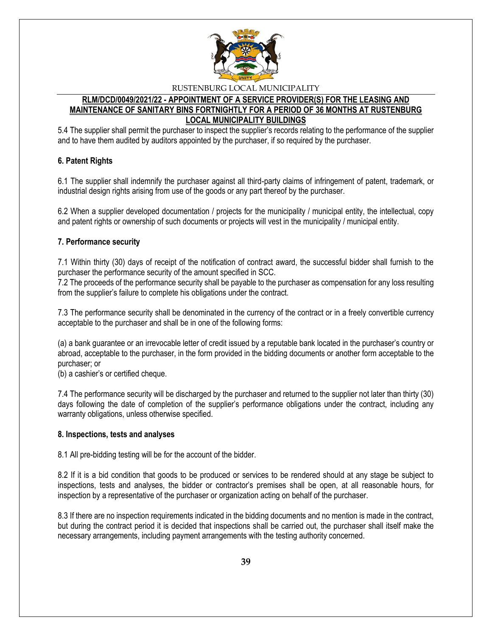

## **RLM/DCD/0049/2021/22 - APPOINTMENT OF A SERVICE PROVIDER(S) FOR THE LEASING AND MAINTENANCE OF SANITARY BINS FORTNIGHTLY FOR A PERIOD OF 36 MONTHS AT RUSTENBURG LOCAL MUNICIPALITY BUILDINGS**

5.4 The supplier shall permit the purchaser to inspect the supplier's records relating to the performance of the supplier and to have them audited by auditors appointed by the purchaser, if so required by the purchaser.

## **6. Patent Rights**

6.1 The supplier shall indemnify the purchaser against all third-party claims of infringement of patent, trademark, or industrial design rights arising from use of the goods or any part thereof by the purchaser.

6.2 When a supplier developed documentation / projects for the municipality / municipal entity, the intellectual, copy and patent rights or ownership of such documents or projects will vest in the municipality / municipal entity.

#### **7. Performance security**

7.1 Within thirty (30) days of receipt of the notification of contract award, the successful bidder shall furnish to the purchaser the performance security of the amount specified in SCC.

7.2 The proceeds of the performance security shall be payable to the purchaser as compensation for any loss resulting from the supplier's failure to complete his obligations under the contract.

7.3 The performance security shall be denominated in the currency of the contract or in a freely convertible currency acceptable to the purchaser and shall be in one of the following forms:

(a) a bank guarantee or an irrevocable letter of credit issued by a reputable bank located in the purchaser's country or abroad, acceptable to the purchaser, in the form provided in the bidding documents or another form acceptable to the purchaser; or

(b) a cashier's or certified cheque.

7.4 The performance security will be discharged by the purchaser and returned to the supplier not later than thirty (30) days following the date of completion of the supplier's performance obligations under the contract, including any warranty obligations, unless otherwise specified.

#### **8. Inspections, tests and analyses**

8.1 All pre-bidding testing will be for the account of the bidder.

8.2 If it is a bid condition that goods to be produced or services to be rendered should at any stage be subject to inspections, tests and analyses, the bidder or contractor's premises shall be open, at all reasonable hours, for inspection by a representative of the purchaser or organization acting on behalf of the purchaser.

8.3 If there are no inspection requirements indicated in the bidding documents and no mention is made in the contract, but during the contract period it is decided that inspections shall be carried out, the purchaser shall itself make the necessary arrangements, including payment arrangements with the testing authority concerned.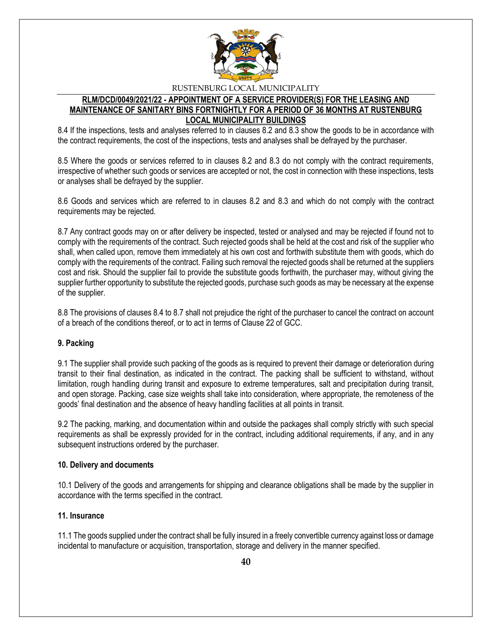

### **RLM/DCD/0049/2021/22 - APPOINTMENT OF A SERVICE PROVIDER(S) FOR THE LEASING AND MAINTENANCE OF SANITARY BINS FORTNIGHTLY FOR A PERIOD OF 36 MONTHS AT RUSTENBURG LOCAL MUNICIPALITY BUILDINGS**

8.4 If the inspections, tests and analyses referred to in clauses 8.2 and 8.3 show the goods to be in accordance with the contract requirements, the cost of the inspections, tests and analyses shall be defrayed by the purchaser.

8.5 Where the goods or services referred to in clauses 8.2 and 8.3 do not comply with the contract requirements, irrespective of whether such goods or services are accepted or not, the cost in connection with these inspections, tests or analyses shall be defrayed by the supplier.

8.6 Goods and services which are referred to in clauses 8.2 and 8.3 and which do not comply with the contract requirements may be rejected.

8.7 Any contract goods may on or after delivery be inspected, tested or analysed and may be rejected if found not to comply with the requirements of the contract. Such rejected goods shall be held at the cost and risk of the supplier who shall, when called upon, remove them immediately at his own cost and forthwith substitute them with goods, which do comply with the requirements of the contract. Failing such removal the rejected goods shall be returned at the suppliers cost and risk. Should the supplier fail to provide the substitute goods forthwith, the purchaser may, without giving the supplier further opportunity to substitute the rejected goods, purchase such goods as may be necessary at the expense of the supplier.

8.8 The provisions of clauses 8.4 to 8.7 shall not prejudice the right of the purchaser to cancel the contract on account of a breach of the conditions thereof, or to act in terms of Clause 22 of GCC.

#### **9. Packing**

9.1 The supplier shall provide such packing of the goods as is required to prevent their damage or deterioration during transit to their final destination, as indicated in the contract. The packing shall be sufficient to withstand, without limitation, rough handling during transit and exposure to extreme temperatures, salt and precipitation during transit, and open storage. Packing, case size weights shall take into consideration, where appropriate, the remoteness of the goods' final destination and the absence of heavy handling facilities at all points in transit.

9.2 The packing, marking, and documentation within and outside the packages shall comply strictly with such special requirements as shall be expressly provided for in the contract, including additional requirements, if any, and in any subsequent instructions ordered by the purchaser.

#### **10. Delivery and documents**

10.1 Delivery of the goods and arrangements for shipping and clearance obligations shall be made by the supplier in accordance with the terms specified in the contract.

#### **11. Insurance**

11.1 The goods supplied under the contract shall be fully insured in a freely convertible currency against loss or damage incidental to manufacture or acquisition, transportation, storage and delivery in the manner specified.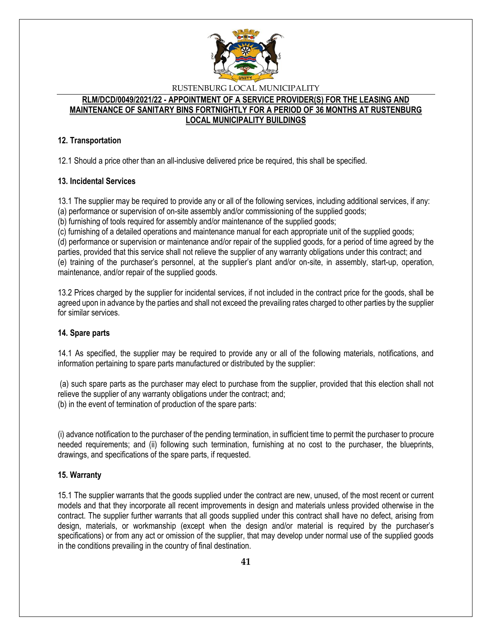

## **RLM/DCD/0049/2021/22 - APPOINTMENT OF A SERVICE PROVIDER(S) FOR THE LEASING AND MAINTENANCE OF SANITARY BINS FORTNIGHTLY FOR A PERIOD OF 36 MONTHS AT RUSTENBURG LOCAL MUNICIPALITY BUILDINGS**

## **12. Transportation**

12.1 Should a price other than an all-inclusive delivered price be required, this shall be specified.

## **13. Incidental Services**

13.1 The supplier may be required to provide any or all of the following services, including additional services, if any:

(a) performance or supervision of on-site assembly and/or commissioning of the supplied goods;

(b) furnishing of tools required for assembly and/or maintenance of the supplied goods;

(c) furnishing of a detailed operations and maintenance manual for each appropriate unit of the supplied goods;

(d) performance or supervision or maintenance and/or repair of the supplied goods, for a period of time agreed by the parties, provided that this service shall not relieve the supplier of any warranty obligations under this contract; and (e) training of the purchaser's personnel, at the supplier's plant and/or on-site, in assembly, start-up, operation, maintenance, and/or repair of the supplied goods.

13.2 Prices charged by the supplier for incidental services, if not included in the contract price for the goods, shall be agreed upon in advance by the parties and shall not exceed the prevailing rates charged to other parties by the supplier for similar services.

## **14. Spare parts**

14.1 As specified, the supplier may be required to provide any or all of the following materials, notifications, and information pertaining to spare parts manufactured or distributed by the supplier:

(a) such spare parts as the purchaser may elect to purchase from the supplier, provided that this election shall not relieve the supplier of any warranty obligations under the contract; and; (b) in the event of termination of production of the spare parts:

(i) advance notification to the purchaser of the pending termination, in sufficient time to permit the purchaser to procure needed requirements; and (ii) following such termination, furnishing at no cost to the purchaser, the blueprints, drawings, and specifications of the spare parts, if requested.

## **15. Warranty**

15.1 The supplier warrants that the goods supplied under the contract are new, unused, of the most recent or current models and that they incorporate all recent improvements in design and materials unless provided otherwise in the contract. The supplier further warrants that all goods supplied under this contract shall have no defect, arising from design, materials, or workmanship (except when the design and/or material is required by the purchaser's specifications) or from any act or omission of the supplier, that may develop under normal use of the supplied goods in the conditions prevailing in the country of final destination.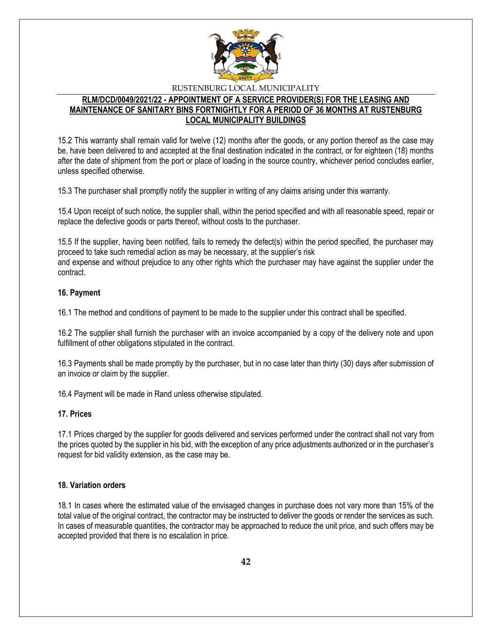

## **RLM/DCD/0049/2021/22 - APPOINTMENT OF A SERVICE PROVIDER(S) FOR THE LEASING AND MAINTENANCE OF SANITARY BINS FORTNIGHTLY FOR A PERIOD OF 36 MONTHS AT RUSTENBURG LOCAL MUNICIPALITY BUILDINGS**

15.2 This warranty shall remain valid for twelve (12) months after the goods, or any portion thereof as the case may be, have been delivered to and accepted at the final destination indicated in the contract, or for eighteen (18) months after the date of shipment from the port or place of loading in the source country, whichever period concludes earlier, unless specified otherwise.

15.3 The purchaser shall promptly notify the supplier in writing of any claims arising under this warranty.

15.4 Upon receipt of such notice, the supplier shall, within the period specified and with all reasonable speed, repair or replace the defective goods or parts thereof, without costs to the purchaser.

15.5 If the supplier, having been notified, fails to remedy the defect(s) within the period specified, the purchaser may proceed to take such remedial action as may be necessary, at the supplier's risk and expense and without prejudice to any other rights which the purchaser may have against the supplier under the contract.

### **16. Payment**

16.1 The method and conditions of payment to be made to the supplier under this contract shall be specified.

16.2 The supplier shall furnish the purchaser with an invoice accompanied by a copy of the delivery note and upon fulfillment of other obligations stipulated in the contract.

16.3 Payments shall be made promptly by the purchaser, but in no case later than thirty (30) days after submission of an invoice or claim by the supplier.

16.4 Payment will be made in Rand unless otherwise stipulated.

#### **17. Prices**

17.1 Prices charged by the supplier for goods delivered and services performed under the contract shall not vary from the prices quoted by the supplier in his bid, with the exception of any price adjustments authorized or in the purchaser's request for bid validity extension, as the case may be.

#### **18. Variation orders**

18.1 In cases where the estimated value of the envisaged changes in purchase does not vary more than 15% of the total value of the original contract, the contractor may be instructed to deliver the goods or render the services as such. In cases of measurable quantities, the contractor may be approached to reduce the unit price, and such offers may be accepted provided that there is no escalation in price.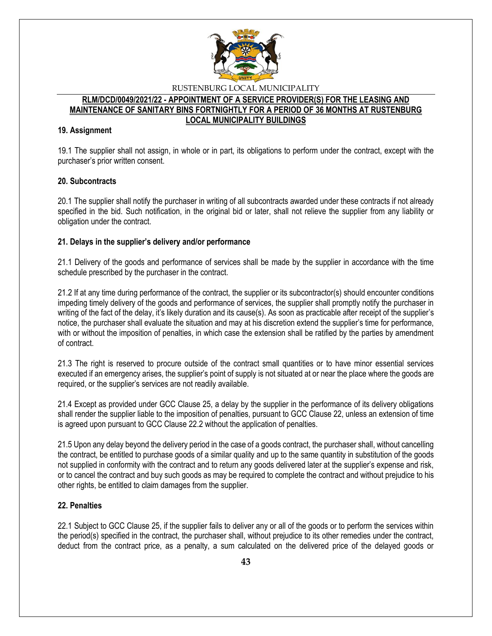

#### **RLM/DCD/0049/2021/22 - APPOINTMENT OF A SERVICE PROVIDER(S) FOR THE LEASING AND MAINTENANCE OF SANITARY BINS FORTNIGHTLY FOR A PERIOD OF 36 MONTHS AT RUSTENBURG LOCAL MUNICIPALITY BUILDINGS**

### **19. Assignment**

19.1 The supplier shall not assign, in whole or in part, its obligations to perform under the contract, except with the purchaser's prior written consent.

## **20. Subcontracts**

20.1 The supplier shall notify the purchaser in writing of all subcontracts awarded under these contracts if not already specified in the bid. Such notification, in the original bid or later, shall not relieve the supplier from any liability or obligation under the contract.

### **21. Delays in the supplier's delivery and/or performance**

21.1 Delivery of the goods and performance of services shall be made by the supplier in accordance with the time schedule prescribed by the purchaser in the contract.

21.2 If at any time during performance of the contract, the supplier or its subcontractor(s) should encounter conditions impeding timely delivery of the goods and performance of services, the supplier shall promptly notify the purchaser in writing of the fact of the delay, it's likely duration and its cause(s). As soon as practicable after receipt of the supplier's notice, the purchaser shall evaluate the situation and may at his discretion extend the supplier's time for performance, with or without the imposition of penalties, in which case the extension shall be ratified by the parties by amendment of contract.

21.3 The right is reserved to procure outside of the contract small quantities or to have minor essential services executed if an emergency arises, the supplier's point of supply is not situated at or near the place where the goods are required, or the supplier's services are not readily available.

21.4 Except as provided under GCC Clause 25, a delay by the supplier in the performance of its delivery obligations shall render the supplier liable to the imposition of penalties, pursuant to GCC Clause 22, unless an extension of time is agreed upon pursuant to GCC Clause 22.2 without the application of penalties.

21.5 Upon any delay beyond the delivery period in the case of a goods contract, the purchaser shall, without cancelling the contract, be entitled to purchase goods of a similar quality and up to the same quantity in substitution of the goods not supplied in conformity with the contract and to return any goods delivered later at the supplier's expense and risk, or to cancel the contract and buy such goods as may be required to complete the contract and without prejudice to his other rights, be entitled to claim damages from the supplier.

## **22. Penalties**

22.1 Subject to GCC Clause 25, if the supplier fails to deliver any or all of the goods or to perform the services within the period(s) specified in the contract, the purchaser shall, without prejudice to its other remedies under the contract, deduct from the contract price, as a penalty, a sum calculated on the delivered price of the delayed goods or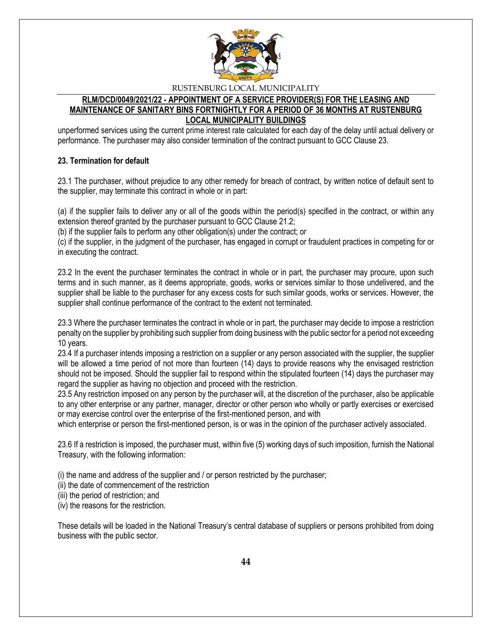

## **RLM/DCD/0049/2021/22 - APPOINTMENT OF A SERVICE PROVIDER(S) FOR THE LEASING AND MAINTENANCE OF SANITARY BINS FORTNIGHTLY FOR A PERIOD OF 36 MONTHS AT RUSTENBURG LOCAL MUNICIPALITY BUILDINGS**

unperformed services using the current prime interest rate calculated for each day of the delay until actual delivery or performance. The purchaser may also consider termination of the contract pursuant to GCC Clause 23.

### **23. Termination for default**

23.1 The purchaser, without prejudice to any other remedy for breach of contract, by written notice of default sent to the supplier, may terminate this contract in whole or in part:

(a) if the supplier fails to deliver any or all of the goods within the period(s) specified in the contract, or within any extension thereof granted by the purchaser pursuant to GCC Clause 21.2;

(b) if the supplier fails to perform any other obligation(s) under the contract; or

(c) if the supplier, in the judgment of the purchaser, has engaged in corrupt or fraudulent practices in competing for or in executing the contract.

23.2 In the event the purchaser terminates the contract in whole or in part, the purchaser may procure, upon such terms and in such manner, as it deems appropriate, goods, works or services similar to those undelivered, and the supplier shall be liable to the purchaser for any excess costs for such similar goods, works or services. However, the supplier shall continue performance of the contract to the extent not terminated.

23.3 Where the purchaser terminates the contract in whole or in part, the purchaser may decide to impose a restriction penalty on the supplier by prohibiting such supplier from doing business with the public sector for a period not exceeding 10 years.

23.4 If a purchaser intends imposing a restriction on a supplier or any person associated with the supplier, the supplier will be allowed a time period of not more than fourteen (14) days to provide reasons why the envisaged restriction should not be imposed. Should the supplier fail to respond within the stipulated fourteen (14) days the purchaser may regard the supplier as having no objection and proceed with the restriction.

23.5 Any restriction imposed on any person by the purchaser will, at the discretion of the purchaser, also be applicable to any other enterprise or any partner, manager, director or other person who wholly or partly exercises or exercised or may exercise control over the enterprise of the first-mentioned person, and with

which enterprise or person the first-mentioned person, is or was in the opinion of the purchaser actively associated.

23.6 If a restriction is imposed, the purchaser must, within five (5) working days of such imposition, furnish the National Treasury, with the following information:

(i) the name and address of the supplier and / or person restricted by the purchaser;

(ii) the date of commencement of the restriction

(iii) the period of restriction; and

(iv) the reasons for the restriction.

These details will be loaded in the National Treasury's central database of suppliers or persons prohibited from doing business with the public sector.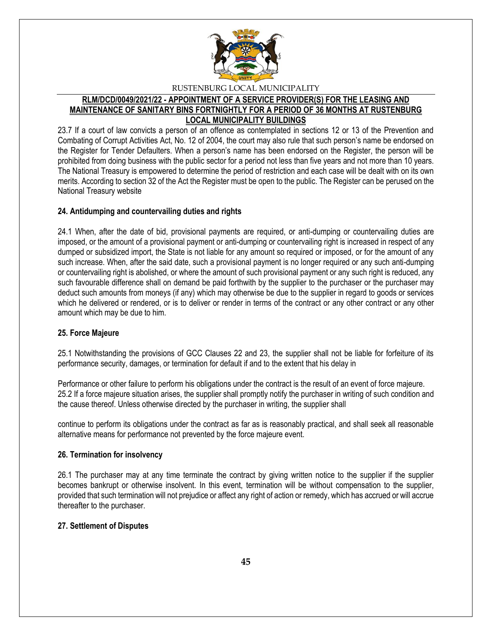

## **RLM/DCD/0049/2021/22 - APPOINTMENT OF A SERVICE PROVIDER(S) FOR THE LEASING AND MAINTENANCE OF SANITARY BINS FORTNIGHTLY FOR A PERIOD OF 36 MONTHS AT RUSTENBURG LOCAL MUNICIPALITY BUILDINGS**

23.7 If a court of law convicts a person of an offence as contemplated in sections 12 or 13 of the Prevention and Combating of Corrupt Activities Act, No. 12 of 2004, the court may also rule that such person's name be endorsed on the Register for Tender Defaulters. When a person's name has been endorsed on the Register, the person will be prohibited from doing business with the public sector for a period not less than five years and not more than 10 years. The National Treasury is empowered to determine the period of restriction and each case will be dealt with on its own merits. According to section 32 of the Act the Register must be open to the public. The Register can be perused on the National Treasury website

### **24. Antidumping and countervailing duties and rights**

24.1 When, after the date of bid, provisional payments are required, or anti-dumping or countervailing duties are imposed, or the amount of a provisional payment or anti-dumping or countervailing right is increased in respect of any dumped or subsidized import, the State is not liable for any amount so required or imposed, or for the amount of any such increase. When, after the said date, such a provisional payment is no longer required or any such anti-dumping or countervailing right is abolished, or where the amount of such provisional payment or any such right is reduced, any such favourable difference shall on demand be paid forthwith by the supplier to the purchaser or the purchaser may deduct such amounts from moneys (if any) which may otherwise be due to the supplier in regard to goods or services which he delivered or rendered, or is to deliver or render in terms of the contract or any other contract or any other amount which may be due to him.

## **25. Force Majeure**

25.1 Notwithstanding the provisions of GCC Clauses 22 and 23, the supplier shall not be liable for forfeiture of its performance security, damages, or termination for default if and to the extent that his delay in

Performance or other failure to perform his obligations under the contract is the result of an event of force majeure. 25.2 If a force majeure situation arises, the supplier shall promptly notify the purchaser in writing of such condition and the cause thereof. Unless otherwise directed by the purchaser in writing, the supplier shall

continue to perform its obligations under the contract as far as is reasonably practical, and shall seek all reasonable alternative means for performance not prevented by the force majeure event.

#### **26. Termination for insolvency**

26.1 The purchaser may at any time terminate the contract by giving written notice to the supplier if the supplier becomes bankrupt or otherwise insolvent. In this event, termination will be without compensation to the supplier, provided that such termination will not prejudice or affect any right of action or remedy, which has accrued or will accrue thereafter to the purchaser.

## **27. Settlement of Disputes**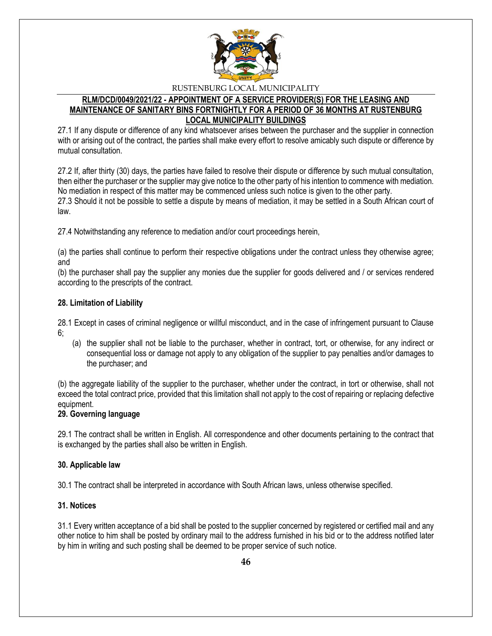

## **RLM/DCD/0049/2021/22 - APPOINTMENT OF A SERVICE PROVIDER(S) FOR THE LEASING AND MAINTENANCE OF SANITARY BINS FORTNIGHTLY FOR A PERIOD OF 36 MONTHS AT RUSTENBURG LOCAL MUNICIPALITY BUILDINGS**

27.1 If any dispute or difference of any kind whatsoever arises between the purchaser and the supplier in connection with or arising out of the contract, the parties shall make every effort to resolve amicably such dispute or difference by mutual consultation.

27.2 If, after thirty (30) days, the parties have failed to resolve their dispute or difference by such mutual consultation, then either the purchaser or the supplier may give notice to the other party of his intention to commence with mediation. No mediation in respect of this matter may be commenced unless such notice is given to the other party. 27.3 Should it not be possible to settle a dispute by means of mediation, it may be settled in a South African court of law.

27.4 Notwithstanding any reference to mediation and/or court proceedings herein,

(a) the parties shall continue to perform their respective obligations under the contract unless they otherwise agree; and

(b) the purchaser shall pay the supplier any monies due the supplier for goods delivered and / or services rendered according to the prescripts of the contract.

### **28. Limitation of Liability**

28.1 Except in cases of criminal negligence or willful misconduct, and in the case of infringement pursuant to Clause 6;

(a) the supplier shall not be liable to the purchaser, whether in contract, tort, or otherwise, for any indirect or consequential loss or damage not apply to any obligation of the supplier to pay penalties and/or damages to the purchaser; and

(b) the aggregate liability of the supplier to the purchaser, whether under the contract, in tort or otherwise, shall not exceed the total contract price, provided that this limitation shall not apply to the cost of repairing or replacing defective equipment.

## **29. Governing language**

29.1 The contract shall be written in English. All correspondence and other documents pertaining to the contract that is exchanged by the parties shall also be written in English.

#### **30. Applicable law**

30.1 The contract shall be interpreted in accordance with South African laws, unless otherwise specified.

#### **31. Notices**

31.1 Every written acceptance of a bid shall be posted to the supplier concerned by registered or certified mail and any other notice to him shall be posted by ordinary mail to the address furnished in his bid or to the address notified later by him in writing and such posting shall be deemed to be proper service of such notice.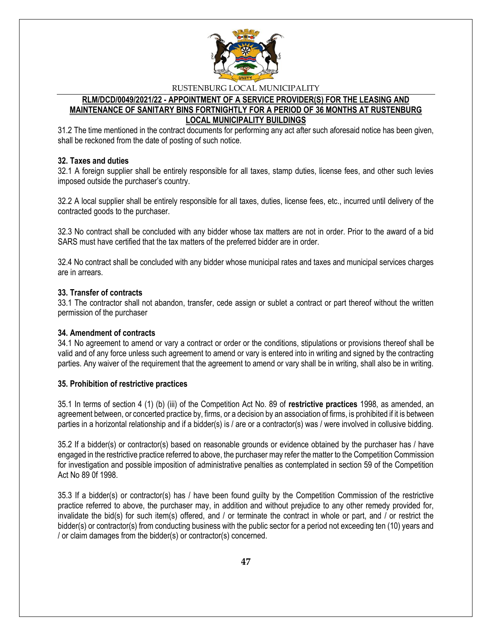

#### **RLM/DCD/0049/2021/22 - APPOINTMENT OF A SERVICE PROVIDER(S) FOR THE LEASING AND MAINTENANCE OF SANITARY BINS FORTNIGHTLY FOR A PERIOD OF 36 MONTHS AT RUSTENBURG LOCAL MUNICIPALITY BUILDINGS**

31.2 The time mentioned in the contract documents for performing any act after such aforesaid notice has been given, shall be reckoned from the date of posting of such notice.

### **32. Taxes and duties**

32.1 A foreign supplier shall be entirely responsible for all taxes, stamp duties, license fees, and other such levies imposed outside the purchaser's country.

32.2 A local supplier shall be entirely responsible for all taxes, duties, license fees, etc., incurred until delivery of the contracted goods to the purchaser.

32.3 No contract shall be concluded with any bidder whose tax matters are not in order. Prior to the award of a bid SARS must have certified that the tax matters of the preferred bidder are in order.

32.4 No contract shall be concluded with any bidder whose municipal rates and taxes and municipal services charges are in arrears.

#### **33. Transfer of contracts**

33.1 The contractor shall not abandon, transfer, cede assign or sublet a contract or part thereof without the written permission of the purchaser

#### **34. Amendment of contracts**

34.1 No agreement to amend or vary a contract or order or the conditions, stipulations or provisions thereof shall be valid and of any force unless such agreement to amend or vary is entered into in writing and signed by the contracting parties. Any waiver of the requirement that the agreement to amend or vary shall be in writing, shall also be in writing.

#### **35. Prohibition of restrictive practices**

35.1 In terms of section 4 (1) (b) (iii) of the Competition Act No. 89 of **restrictive practices** 1998, as amended, an agreement between, or concerted practice by, firms, or a decision by an association of firms, is prohibited if it is between parties in a horizontal relationship and if a bidder(s) is / are or a contractor(s) was / were involved in collusive bidding.

35.2 If a bidder(s) or contractor(s) based on reasonable grounds or evidence obtained by the purchaser has / have engaged in the restrictive practice referred to above, the purchaser may refer the matter to the Competition Commission for investigation and possible imposition of administrative penalties as contemplated in section 59 of the Competition Act No 89 0f 1998.

35.3 If a bidder(s) or contractor(s) has / have been found guilty by the Competition Commission of the restrictive practice referred to above, the purchaser may, in addition and without prejudice to any other remedy provided for, invalidate the bid(s) for such item(s) offered, and / or terminate the contract in whole or part, and / or restrict the bidder(s) or contractor(s) from conducting business with the public sector for a period not exceeding ten (10) years and / or claim damages from the bidder(s) or contractor(s) concerned.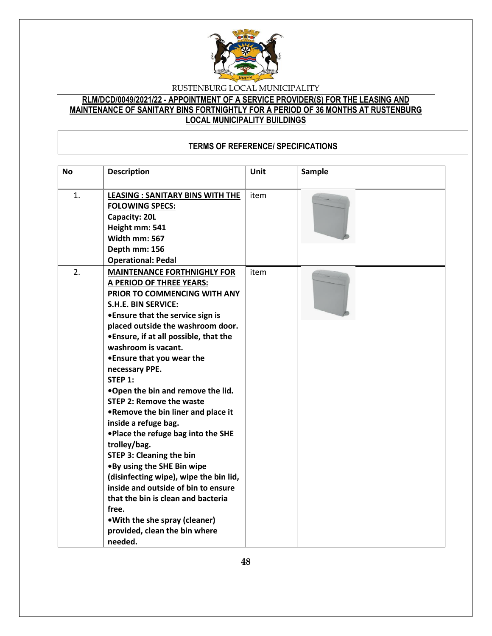

## **RLM/DCD/0049/2021/22 - APPOINTMENT OF A SERVICE PROVIDER(S) FOR THE LEASING AND MAINTENANCE OF SANITARY BINS FORTNIGHTLY FOR A PERIOD OF 36 MONTHS AT RUSTENBURG LOCAL MUNICIPALITY BUILDINGS**

## **TERMS OF REFERENCE/ SPECIFICATIONS**

| <b>No</b> | <b>Description</b>                                                                                                                                                                                                                                                                                                                                                                                                                                                                                                                                                                                                                                                                                                                                                                                             | Unit | <b>Sample</b> |
|-----------|----------------------------------------------------------------------------------------------------------------------------------------------------------------------------------------------------------------------------------------------------------------------------------------------------------------------------------------------------------------------------------------------------------------------------------------------------------------------------------------------------------------------------------------------------------------------------------------------------------------------------------------------------------------------------------------------------------------------------------------------------------------------------------------------------------------|------|---------------|
| 1.        | <b>LEASING: SANITARY BINS WITH THE</b><br><b>FOLOWING SPECS:</b><br>Capacity: 20L<br>Height mm: 541<br>Width mm: 567<br>Depth mm: 156<br><b>Operational: Pedal</b>                                                                                                                                                                                                                                                                                                                                                                                                                                                                                                                                                                                                                                             | item |               |
| 2.        | <b>MAINTENANCE FORTHNIGHLY FOR</b><br>A PERIOD OF THREE YEARS:<br>PRIOR TO COMMENCING WITH ANY<br><b>S.H.E. BIN SERVICE:</b><br>• Ensure that the service sign is<br>placed outside the washroom door.<br>. Ensure, if at all possible, that the<br>washroom is vacant.<br>• Ensure that you wear the<br>necessary PPE.<br>STEP 1:<br>.Open the bin and remove the lid.<br><b>STEP 2: Remove the waste</b><br>.Remove the bin liner and place it<br>inside a refuge bag.<br>. Place the refuge bag into the SHE<br>trolley/bag.<br><b>STEP 3: Cleaning the bin</b><br>.By using the SHE Bin wipe<br>(disinfecting wipe), wipe the bin lid,<br>inside and outside of bin to ensure<br>that the bin is clean and bacteria<br>free.<br>. With the she spray (cleaner)<br>provided, clean the bin where<br>needed. | item |               |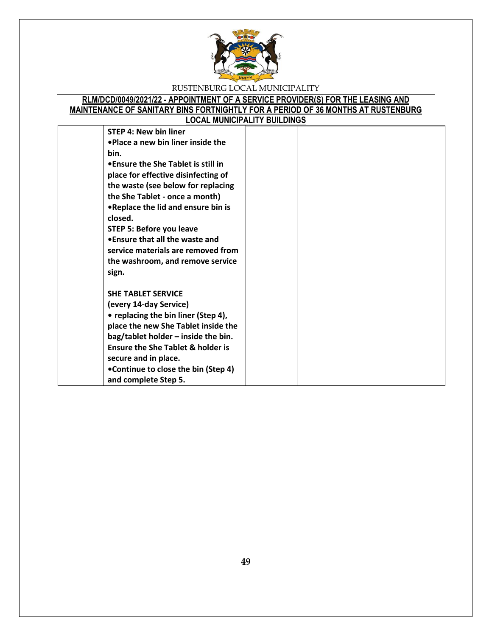

## **RLM/DCD/0049/2021/22 - APPOINTMENT OF A SERVICE PROVIDER(S) FOR THE LEASING AND MAINTENANCE OF SANITARY BINS FORTNIGHTLY FOR A PERIOD OF 36 MONTHS AT RUSTENBURG LOCAL MUNICIPALITY BUILDINGS**

| <b>STEP 4: New bin liner</b>                 |  |
|----------------------------------------------|--|
| •Place a new bin liner inside the            |  |
| bin.                                         |  |
| • Ensure the She Tablet is still in          |  |
| place for effective disinfecting of          |  |
| the waste (see below for replacing           |  |
| the She Tablet - once a month)               |  |
| . Replace the lid and ensure bin is          |  |
| closed.                                      |  |
| STEP 5: Before you leave                     |  |
| • Ensure that all the waste and              |  |
| service materials are removed from           |  |
| the washroom, and remove service             |  |
| sign.                                        |  |
| <b>SHE TABLET SERVICE</b>                    |  |
| (every 14-day Service)                       |  |
| • replacing the bin liner (Step 4),          |  |
| place the new She Tablet inside the          |  |
| bag/tablet holder - inside the bin.          |  |
| <b>Ensure the She Tablet &amp; holder is</b> |  |
| secure and in place.                         |  |
| •Continue to close the bin (Step 4)          |  |
| and complete Step 5.                         |  |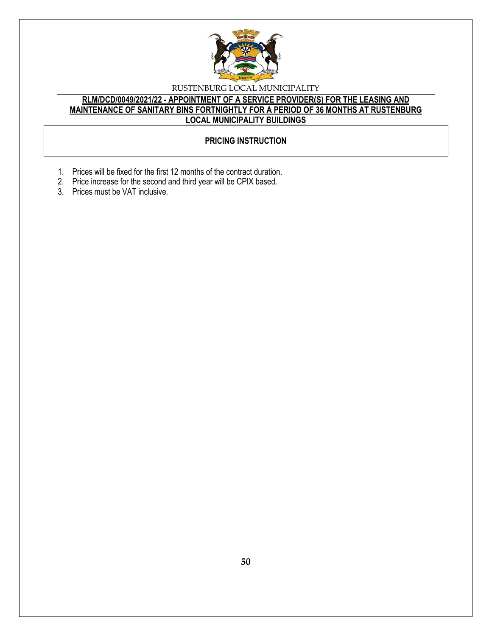

## **RLM/DCD/0049/2021/22 - APPOINTMENT OF A SERVICE PROVIDER(S) FOR THE LEASING AND MAINTENANCE OF SANITARY BINS FORTNIGHTLY FOR A PERIOD OF 36 MONTHS AT RUSTENBURG LOCAL MUNICIPALITY BUILDINGS**

## **PRICING INSTRUCTION**

- 1. Prices will be fixed for the first 12 months of the contract duration.
- 2. Price increase for the second and third year will be CPIX based.
- 3. Prices must be VAT inclusive.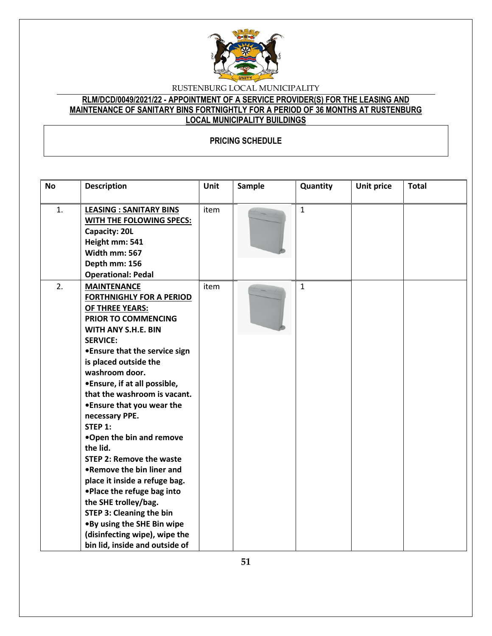

## **RLM/DCD/0049/2021/22 - APPOINTMENT OF A SERVICE PROVIDER(S) FOR THE LEASING AND MAINTENANCE OF SANITARY BINS FORTNIGHTLY FOR A PERIOD OF 36 MONTHS AT RUSTENBURG LOCAL MUNICIPALITY BUILDINGS**

## **PRICING SCHEDULE**

| <b>No</b> | <b>Description</b>                                                                                                                                                                                                                                                                                                                                                                                                                                                                                                                                                                                                                                                                           | <b>Unit</b> | Sample | Quantity     | <b>Unit price</b> | <b>Total</b> |
|-----------|----------------------------------------------------------------------------------------------------------------------------------------------------------------------------------------------------------------------------------------------------------------------------------------------------------------------------------------------------------------------------------------------------------------------------------------------------------------------------------------------------------------------------------------------------------------------------------------------------------------------------------------------------------------------------------------------|-------------|--------|--------------|-------------------|--------------|
| 1.        | <b>LEASING : SANITARY BINS</b><br>WITH THE FOLOWING SPECS:<br>Capacity: 20L<br>Height mm: 541<br>Width mm: 567<br>Depth mm: 156<br><b>Operational: Pedal</b>                                                                                                                                                                                                                                                                                                                                                                                                                                                                                                                                 | item        |        | $\mathbf{1}$ |                   |              |
| 2.        | <b>MAINTENANCE</b><br><b>FORTHNIGHLY FOR A PERIOD</b><br><b>OF THREE YEARS:</b><br>PRIOR TO COMMENCING<br>WITH ANY S.H.E. BIN<br><b>SERVICE:</b><br>• Ensure that the service sign<br>is placed outside the<br>washroom door.<br>•Ensure, if at all possible,<br>that the washroom is vacant.<br>• Ensure that you wear the<br>necessary PPE.<br>STEP 1:<br>.Open the bin and remove<br>the lid.<br><b>STEP 2: Remove the waste</b><br>.Remove the bin liner and<br>place it inside a refuge bag.<br>. Place the refuge bag into<br>the SHE trolley/bag.<br><b>STEP 3: Cleaning the bin</b><br>.By using the SHE Bin wipe<br>(disinfecting wipe), wipe the<br>bin lid, inside and outside of | item        |        | $\mathbf{1}$ |                   |              |